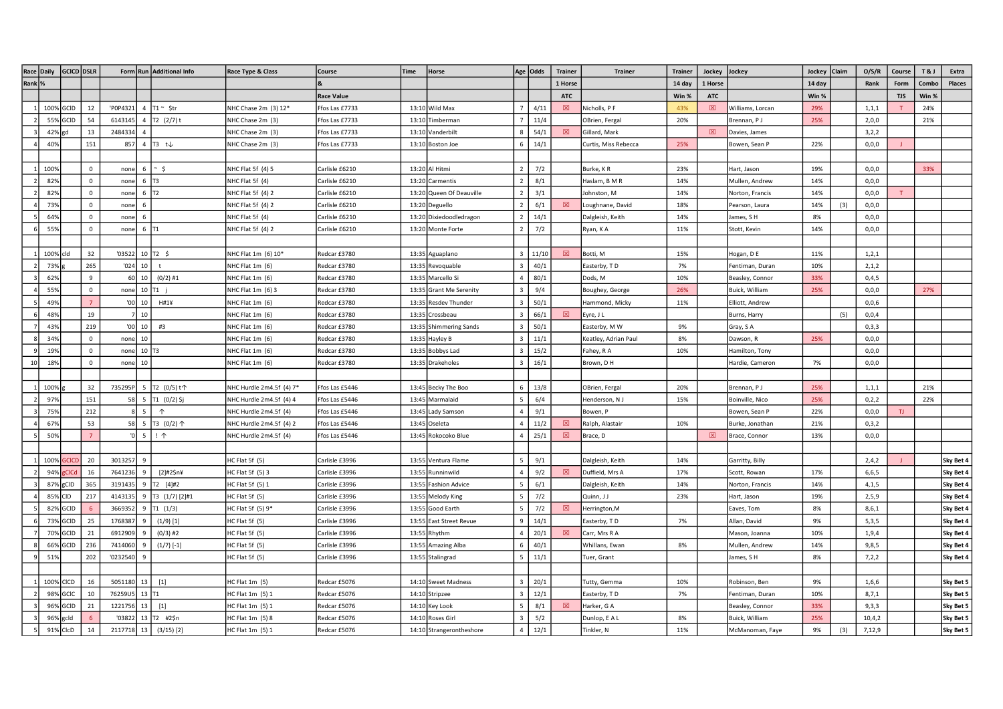|        | Race Daily  | GCICD DSLR   |                |                                                 | Form Run Additional Info   | Race Type & Class        | Course                       | Time | Horse                                        |                              | Age Odds       | <b>Trainer</b> | <b>Trainer</b>               | <b>Trainer</b> | Jockey      | Jockey                            | Jockey Claim |     | O/S/R          | Course     | <b>T&amp;J</b> | Extra                  |
|--------|-------------|--------------|----------------|-------------------------------------------------|----------------------------|--------------------------|------------------------------|------|----------------------------------------------|------------------------------|----------------|----------------|------------------------------|----------------|-------------|-----------------------------------|--------------|-----|----------------|------------|----------------|------------------------|
| Rank % |             |              |                |                                                 |                            |                          |                              |      |                                              |                              |                | 1 Horse        |                              | 14 day         | 1 Horse     |                                   | 14 day       |     | Rank           | Form       | Combo          | Places                 |
|        |             |              |                |                                                 |                            |                          | <b>Race Value</b>            |      |                                              |                              |                | <b>ATC</b>     |                              | Win %          | <b>ATC</b>  |                                   | Win %        |     |                | <b>TJS</b> | Win %          |                        |
|        | 100%        | GCID         | 12             | 'P0P4321<br>$\overline{4}$                      | $T1 \sim$ \$tr             | NHC Chase 2m (3) 12*     | Ffos Las £7733               |      | 13:10 Wild Max                               |                              | 4/11           | 図              | Nicholls, P F                | 43%            | 図           | Williams, Lorcan                  | 29%          |     | 1, 1, 1        | T          | 24%            |                        |
|        | 55%         | GCID         | 54             | 6143145                                         | T2 (2/7) t                 | NHC Chase 2m (3)         | Ffos Las £7733               |      | 13:10 Timberman                              |                              | 11/4           |                | OBrien, Fergal               | 20%            |             | Brennan, PJ                       | 25%          |     | 2,0,0          |            | 21%            |                        |
|        | 42%         | na           | 13             | 2484334                                         |                            | NHC Chase 2m (3)         | Ffos Las £7733               |      | 13:10 Vanderbilt                             |                              | 54/1           | 図              | Gillard, Mark                |                | 図           | Davies, James                     |              |     | 3,2,2          |            |                |                        |
|        | 40%         |              | 151            | 857                                             | 4 T3 t $\downarrow$        | NHC Chase 2m (3)         | Ffos Las £7733               |      | 13:10 Boston Joe                             | -6                           | 14/1           |                | Curtis, Miss Rebecca         | 25%            |             | Bowen, Sean P                     | 22%          |     | 0, 0, 0        |            |                |                        |
|        |             |              |                |                                                 |                            |                          |                              |      |                                              |                              |                |                |                              |                |             |                                   |              |     |                |            |                |                        |
|        | 100%        |              | $\mathbf 0$    | none<br>- 6                                     | $~\sim~$ \$                | NHC Flat 5f (4) 5        | Carlisle £6210               |      | 13:20 Al Hitmi                               | 2 <sup>1</sup>               | 7/2            |                | Burke, KR                    | 23%            |             | Hart, Jason                       | 19%          |     | 0,0,0          |            | 33%            |                        |
|        | 82%         |              | $\mathsf 0$    | none<br>6                                       | T3                         | NHC Flat 5f (4)          | Carlisle £6210               |      | 13:20 Carmentis                              |                              | 8/1            |                | Haslam, B M R                | 14%            |             | Mullen, Andrew                    | 14%          |     | 0, 0, 0        |            |                |                        |
|        | 82%         |              | $\mathsf 0$    | 6<br>none                                       | T <sub>2</sub>             | NHC Flat 5f (4) 2        | Carlisle £6210               |      | 13:20 Queen Of Deauville                     |                              | 3/1            |                | Johnston, M                  | 14%            |             | Norton, Francis                   | 14%          |     | 0,0,0          |            |                |                        |
|        | 73%         |              | $\mathsf 0$    | 6<br>none                                       |                            | NHC Flat 5f (4) 2        | Carlisle £6210               |      | 13:20 Deguello                               |                              | 6/1            | 図              | Loughnane, David             | 18%            |             | Pearson, Laura                    | 14%          | (3) | 0, 0, 0        |            |                |                        |
|        | 64%         |              | $\mathbf 0$    | 6<br>none                                       |                            | NHC Flat 5f(4)           | Carlisle £6210               |      | 13:20 Dixiedoodledragon                      | $\overline{2}$               | 14/1           |                | Dalgleish, Keith             | 14%            |             | James, SH                         | 8%           |     | 0,0,0          |            |                |                        |
|        | 55%         |              | $\circ$        | 6 T1<br>none                                    |                            | NHC Flat 5f (4) 2        | Carlisle £6210               |      | 13:20 Monte Forte                            | $\overline{2}$               | 7/2            |                | Ryan, KA                     | 11%            |             | Stott, Kevin                      | 14%          |     | 0,0,0          |            |                |                        |
|        |             |              |                |                                                 |                            |                          |                              |      |                                              |                              |                |                |                              |                |             |                                   |              |     |                |            |                |                        |
|        | 100%        | cld          | 32             | '03522                                          | $10$ T <sub>2</sub> \$     | NHC Flat 1m (6) 10*      | Redcar £3780                 |      | 13:35 Aguaplano                              |                              | $3 \mid 11/10$ | 図              | Botti, M                     | 15%            |             | Hogan, D E                        | 11%          |     | 1, 2, 1        |            |                |                        |
|        | 73%         |              | 265            | 10 <sup>1</sup><br>'024                         | $\mathbf{t}$               | NHC Flat 1m (6)          | Redcar £3780                 |      | 13:35 Revoquable                             |                              | 40/1           |                | Easterby, TD                 | 7%             |             | Fentiman, Duran                   | 10%          |     | 2,1,2          |            |                |                        |
|        | 62%         |              | $\mathbf{q}$   | 10 <sup>1</sup><br>60                           | $(0/2)$ #1                 | NHC Flat 1m (6)          | Redcar £3780                 |      | 13:35 Marcello Si                            |                              | 80/1           |                | Dods, M                      | 10%            |             | Beasley, Connor                   | 33%          |     | 0,4,5          |            |                |                        |
|        | 55%         |              | $\mathbf 0$    | none                                            | 10 T1                      | NHC Flat 1m (6) 3        | Redcar £3780                 |      | 13:35 Grant Me Serenity                      |                              | 9/4            |                | Boughey, George              | 26%            |             | Buick, William                    | 25%          |     | 0,0,0          |            | 27%            |                        |
|        | 49%         |              | $\overline{7}$ | $'00$ 10                                        | H#14                       | NHC Flat 1m (6)          | Redcar £3780                 |      | 13:35 Resdev Thunder                         | $\mathbf{R}$                 | 50/1           |                | Hammond, Micky               | 11%            |             | Elliott, Andrew                   |              |     | 0,0,6          |            |                |                        |
|        | 48%         |              | 19             | 10                                              |                            | NHC Flat 1m (6)          | Redcar £3780                 |      | 13:35 Crossbeau                              |                              | 66/1           | 図              | Eyre, J L                    |                |             | Burns, Harry                      |              | (5) | 0,0,4          |            |                |                        |
|        | 43%         |              | 219            | 10<br>'00                                       | #3                         | NHC Flat 1m (6)          | Redcar £3780                 |      | 13:35 Shimmering Sands                       |                              | 50/1           |                | Easterby, M W                | 9%             |             | Gray, SA                          |              |     | 0,3,3          |            |                |                        |
|        | 34%         |              | $\mathsf 0$    | 10<br>none                                      |                            | NHC Flat 1m (6)          | Redcar £3780                 |      | 13:35 Hayley B                               |                              | 11/1           |                | Keatley, Adrian Paul         | 8%             |             | Dawson, R                         | 25%          |     | 0,0,0          |            |                |                        |
|        | 19%         |              | $\mathsf 0$    | $10$ T <sub>3</sub><br>none                     |                            | NHC Flat 1m (6)          | Redcar £3780                 |      | 13:35 Bobbys Lad                             |                              | 15/2           |                | Fahey, R A                   | 10%            |             | Hamilton, Tony                    |              |     | 0,0,0          |            |                |                        |
| 10     | 18%         |              | $\mathsf 0$    | 10<br>none                                      |                            | NHC Flat 1m (6)          | Redcar £3780                 |      | 13:35 Drakeholes                             |                              | 16/1           |                | Brown, D H                   |                |             | Hardie, Cameron                   | 7%           |     | 0,0,0          |            |                |                        |
|        |             |              |                |                                                 |                            |                          |                              |      |                                              |                              |                |                |                              |                |             |                                   |              |     |                |            |                |                        |
|        | 100%        |              | 32             | 735295P                                         | 5 T2 (0/5)t个               | NHC Hurdle 2m4.5f (4) 7* | Ffos Las £5446               |      | 13:45 Becky The Boo                          | -6                           | 13/8           |                | OBrien, Fergal               | 20%            |             | Brennan, PJ                       | 25%          |     | 1, 1, 1        |            | 21%            |                        |
|        | 97%         |              | 151            | 5<br>58                                         | T1 (0/2) \$j               | NHC Hurdle 2m4.5f (4) 4  | Ffos Las £5446               |      | 13:45 Marmalaid                              |                              | 6/4            |                | Henderson, N J               | 15%            |             | Boinville, Nico                   | 25%          |     | 0,2,2          |            | 22%            |                        |
|        | 75%         |              | 212            | 5                                               | $\uparrow$                 | NHC Hurdle 2m4.5f (4)    | Ffos Las £5446               |      | 13:45 Lady Samson                            |                              | 9/1            |                | Bowen, P                     |                |             | Bowen, Sean P                     | 22%          |     | 0,0,0          | TJ.        |                |                        |
|        | 67%         |              | 53             | 58                                              | 5 T3 (0/2) $\uparrow$      | NHC Hurdle 2m4.5f (4) 2  | Ffos Las £5446               |      | 13:45 Oseleta                                |                              | 11/2           | 図              | Ralph, Alastair              | 10%            |             | Burke, Jonathan                   | 21%          |     | 0,3,2          |            |                |                        |
|        | 50%         |              | $\overline{7}$ | $\sqrt{0}$ 5                                    | $\mathsf{I}$ $\uparrow$    | NHC Hurdle 2m4.5f (4)    | Ffos Las £5446               |      | 13:45 Rokocoko Blue                          | $\overline{a}$               | 25/1           | $\boxtimes$    | Brace, D                     |                | $\boxtimes$ | Brace, Connor                     | 13%          |     | 0, 0, 0        |            |                |                        |
|        |             |              |                |                                                 |                            |                          |                              |      |                                              |                              |                |                |                              |                |             |                                   |              |     |                |            |                |                        |
|        | 100%        | <b>CIC</b>   | 20             | 3013257<br>-9                                   |                            | HC Flat 5f (5)           | Carlisle £3996               |      | 13:55 Ventura Flame                          | $\overline{5}$               | 9/1            |                | Dalgleish, Keith             | 14%            |             | Garritty, Billy                   |              |     | 2,4,2          |            |                | Sky Bet 4              |
|        | 94%         | <b>CIC</b>   | 16             | 7641236<br>9                                    | $[2]$ #2\$n¥               | HC Flat 5f (5) 3         | Carlisle £3996               |      | 13:55 Runninwild                             | $\Delta$                     | 9/2            | 図              | Duffield, Mrs A              | 17%            |             | Scott, Rowan                      | 17%          |     | 6, 6, 5        |            |                | Sky Bet 4              |
|        | 87%         | gCID         | 365            | 3191435<br>9                                    | T2 [4]#2                   | HC Flat 5f (5) 1         | Carlisle £3996               |      | 13:55 Fashion Advice                         |                              | 6/1            |                | Dalgleish, Keith             | 14%            |             | Norton, Francis                   | 14%          |     | 4,1,5          |            |                | Sky Bet 4              |
|        | 85%         | CID          | 217            | 4143135<br>9                                    | T3 (1/7) [2]#1             | HC Flat 5f (5)           | Carlisle £3996               |      | 13:55 Melody King                            |                              | 7/2            |                | Quinn, JJ                    | 23%            |             | Hart, Jason                       | 19%          |     | 2,5,9          |            |                | Sky Bet 4              |
|        | 82% GCID    |              | 6              | 3669352                                         | $9$ T <sub>1</sub> $(1/3)$ | HC Flat 5f (5) 9*        | Carlisle £3996               |      | 13:55 Good Earth                             | -5                           | 7/2            | 図              | Herrington, M                |                |             | Eaves, Tom                        | 8%           |     | 8,6,1          |            |                | Sky Bet 4              |
|        | 73%         | GCID         | 25             | 1768387<br>$\overline{9}$                       | $(1/9)$ [1]                | HC Flat 5f (5)           | Carlisle £3996               |      | 13:55 East Street Revue                      | $\mathbf{q}$                 | 14/1           |                | Easterby, TD                 | 7%             |             | Allan, David                      | 9%           |     | 5,3,5          |            |                | Sky Bet 4              |
|        | 70%         | GCID         | 21             | 6912909                                         | $(0/3)$ #2                 | HC Flat 5f (5)           | Carlisle £3996               |      | 13:55 Rhythm                                 |                              | 20/1           | 図              | Carr, Mrs R A                |                |             | Mason, Joanna                     | 10%          |     | 1,9,4          |            |                | Sky Bet 4              |
|        | 66%         | GCID         | 236            | 7414060<br>9                                    | $(1/7)$ [-1]               | HC Flat 5f (5)           | Carlisle £3996               |      | 13:55 Amazing Alba                           |                              | 40/1           |                | Whillans, Ewan               | 8%             |             | Mullen, Andrew                    | 14%          |     | 9,8,5          |            |                | Sky Bet 4              |
|        | 51%         |              | 202            | '0232540<br>q                                   |                            | HC Flat 5f (5)           | Carlisle £3996               |      | 13:55 Stalingrad                             |                              | 11/1           |                | Tuer, Grant                  |                |             | James, SH                         | 8%           |     | 7,2,2          |            |                | Sky Bet 4              |
|        |             |              |                |                                                 |                            |                          |                              |      |                                              |                              |                |                |                              |                |             |                                   |              |     |                |            |                |                        |
|        | 100%<br>98% | CICD<br>GCIC | 16<br>10       | 5051180<br>13<br>76259U5<br>$13$ T <sub>1</sub> | $[1]$                      | HC Flat 1m (5)           | Redcar £5076                 |      | 14:10 Sweet Madness<br>14:10 Stripzee        | $\mathbf{B}$<br>$\mathbf{R}$ | 20/1<br>12/1   |                | Tutty, Gemma                 | 10%            |             | Robinson, Ben                     | 9%<br>10%    |     | 1,6,6          |            |                | Sky Bet 5              |
|        |             | GCID         | 21             | 1221756<br>13                                   | $[1]$                      | HC Flat 1m (5) 1         | Redcar £5076<br>Redcar £5076 |      |                                              |                              | 8/1            | 冈              | Easterby, TD                 | 7%             |             | Fentiman, Duran                   | 33%          |     | 8,7,1<br>9,3,3 |            |                | Sky Bet 5<br>Sky Bet 5 |
|        | 96%<br>96%  | gcld         | 6              | '03822                                          | 13 T2 #2\$n                | HC Flat 1m (5) 1         | Redcar £5076                 |      | 14:10 Key Look                               |                              | 5/2            |                | Harker, G A<br>Dunlop, E A L | 8%             |             | Beasley, Connor<br>Buick, William | 25%          |     | 10, 4, 2       |            |                | Sky Bet 5              |
|        | 91%         | CIcD         | 14             | 2117718<br>13                                   | $(3/15)$ [2]               | HC Flat 1m (5) 8         | Redcar £5076                 |      | 14:10 Roses Girl<br>14:10 Strangerontheshore | $\overline{4}$               | 12/1           |                | Finkler, N                   | 11%            |             | McManoman, Faye                   |              |     | 7,12,9         |            |                | Sky Bet 5              |
|        |             |              |                |                                                 |                            | HC Flat 1m (5) 1         |                              |      |                                              |                              |                |                |                              |                |             |                                   | 9%           | (3) |                |            |                |                        |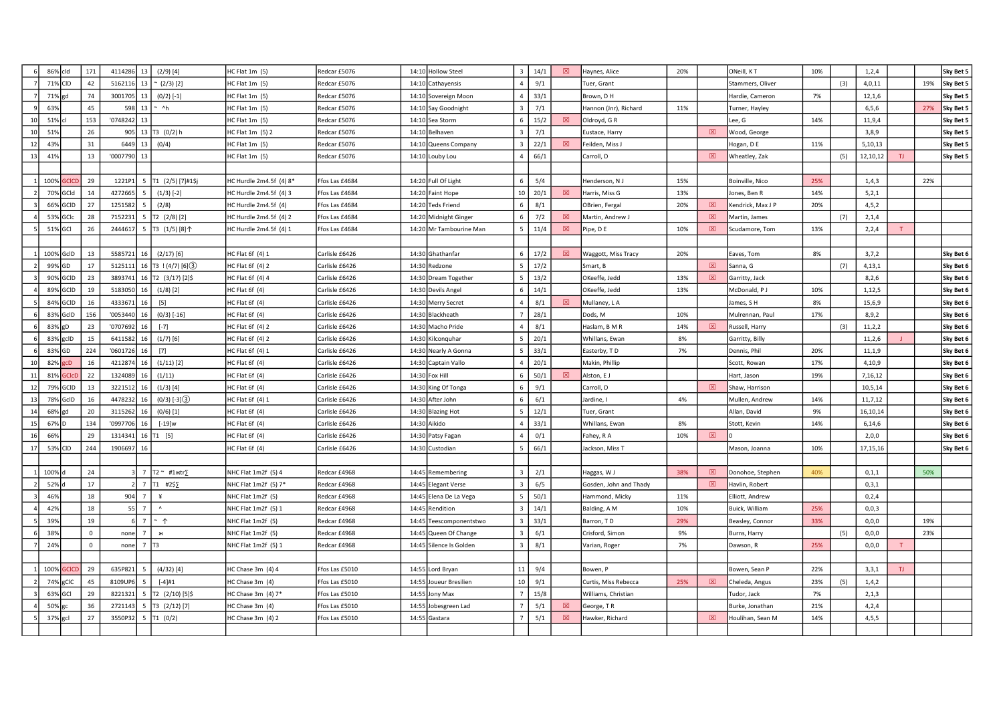|    | 86% cld  |              | 171      | 4114286  | 13             | $(2/9)$ [4]            | HC Flat 1m (5)          | Redcar £5076   | 14:10 Hollow Steel      | $\overline{3}$  | 14/1 | 図 | Haynes, Alice          | 20% |             | ONeill, KT        | 10% |     | 1,2,4    |     |     | Sky Bet 5 |
|----|----------|--------------|----------|----------|----------------|------------------------|-------------------------|----------------|-------------------------|-----------------|------|---|------------------------|-----|-------------|-------------------|-----|-----|----------|-----|-----|-----------|
|    | 71% CID  |              | 42       | 5162116  | 13             | $(2/3)$ [2]            | HC Flat 1m (5)          | Redcar £5076   | 14:10 Cathayensis       |                 | 9/1  |   | Tuer, Grant            |     |             | Stammers, Oliver  |     | (3) | 4,0,11   |     | 19% | Sky Bet 5 |
|    | 71%      | led          | 74       | 3001705  | 13             | $(0/2)$ [-1]           | HC Flat 1m (5)          | Redcar £5076   | 14:10 Sovereign Moon    |                 | 33/1 |   | Brown, D H             |     |             | Hardie, Cameron   | 7%  |     | 12, 1, 6 |     |     | Sky Bet 5 |
|    | 63%      |              | 45       | 598      | 13             | $~\sim~$ ^h            | HC Flat 1m (5)          | Redcar £5076   | 14:10 Say Goodnight     |                 | 7/1  |   | Hannon (Jnr), Richard  | 11% |             | Turner, Hayley    |     |     | 6, 5, 6  |     | 27% | Sky Bet 5 |
| 10 | 51%      |              | 153      | '0748242 | 13             |                        | HC Flat 1m (5)          | Redcar £5076   | 14:10 Sea Storm         |                 | 15/2 | 図 | Oldroyd, GR            |     |             | Lee, G            | 14% |     | 11,9,4   |     |     | Sky Bet 5 |
| 10 | 519      |              | 26       |          |                | 905 13 T3 $(0/2)$ h    | HC Flat 1m (5) 2        | Redcar £5076   | 14:10 Belhaven          |                 | 7/1  |   | Eustace, Harry         |     | $\boxtimes$ | Wood, George      |     |     | 3,8,9    |     |     | Sky Bet 5 |
| 12 | 43%      |              | 31       | 6449     | 13             | (0/4)                  | HC Flat 1m (5)          | Redcar £5076   | 14:10 Queens Company    | $\mathbf{3}$    | 22/1 | 図 | Feilden, Miss J        |     |             | Hogan, D E        | 11% |     | 5,10,13  |     |     | Sky Bet 5 |
| 13 | 41%      |              | 13       | '0007790 | 13             |                        | HC Flat 1m (5)          | Redcar £5076   | 14:10 Louby Lou         | $\overline{a}$  | 66/1 |   | Carroll, D             |     | 図           | Wheatley, Zak     |     | (5) | 12,10,12 | TJ. |     | Sky Bet 5 |
|    |          |              |          |          |                |                        |                         |                |                         |                 |      |   |                        |     |             |                   |     |     |          |     |     |           |
|    | 100%     | CICI         | 29       | 1221P1   |                | T1 (2/5) [7]#1\$j      | HC Hurdle 2m4.5f (4) 8* | Ffos Las £4684 | 14:20 Full Of Light     | 6               | 5/4  |   | Henderson, NJ          | 15% |             | Boinville, Nico   | 25% |     | 1,4,3    |     | 22% |           |
|    | 70% GCId |              | 14       | 4272665  |                | $(1/3)$ [-2]           | HC Hurdle 2m4.5f (4) 3  | Ffos Las £4684 | 14:20 Faint Hope        | 10 <sup>1</sup> | 20/1 | 冈 | Harris, Miss G         | 13% |             | Jones, Ben R      | 14% |     | 5,2,1    |     |     |           |
|    | 66%      | GCID         | 27       | 1251582  |                | (2/8)                  | HC Hurdle 2m4.5f (4)    | Ffos Las £4684 | 14:20 Teds Friend       |                 | 8/1  |   | OBrien, Fergal         | 20% | 図           | Kendrick, Max J P | 20% |     | 4, 5, 2  |     |     |           |
|    | 53% GCIc |              | 28       | 7152231  | 5              | T2 (2/8) [2]           | HC Hurdle 2m4.5f (4) 2  | Ffos Las £4684 | 14:20 Midnight Ginger   | 6               | 7/2  | 図 | Martin, Andrew J       |     | 図           | Martin, James     |     | (7) | 2,1,4    |     |     |           |
|    | 51% GCI  |              | 26       | 2444617  | 5              | T3 (1/5) [8]个          | HC Hurdle 2m4.5f (4) 1  | Ffos Las £4684 | 14:20 Mr Tambourine Man |                 | 11/4 | 図 | Pipe, DE               | 10% | 図           | Scudamore, Tom    | 13% |     | 2,2,4    | T   |     |           |
|    |          |              |          |          |                |                        |                         |                |                         |                 |      |   |                        |     |             |                   |     |     |          |     |     |           |
|    | 100%     | GcID         | 13       | 5585721  |                | $(2/17)$ [6]           | HC Flat 6f (4) 1        | Carlisle £6426 | 14:30 Ghathanfar        | 6 <sup>1</sup>  | 17/2 | ⊠ | Waggott, Miss Tracy    | 20% |             | Eaves, Tom        | 8%  |     | 3,7,2    |     |     | Sky Bet 6 |
|    | 99%      | GD           | 17       | 5125111  |                | $T3$ ! (4/7) [6] (3)   | HC Flat 6f (4) 2        | Carlisle £6426 | 14:30 Redzone           |                 | 17/2 |   | Smart, B               |     | 図           | Sanna, G          |     | (7) | 4,13,1   |     |     | Sky Bet 6 |
|    | 90%      | GCID         | 23       | 3893741  | 16             | T2 (3/17) [2]\$        | HC Flat 6f (4) 4        | Carlisle £6426 | 14:30 Dream Together    |                 | 13/2 |   | OKeeffe, Jedd          | 13% | 図           | Garritty, Jack    |     |     | 8,2,6    |     |     | Sky Bet 6 |
|    | 89%      | GCID         | 19       | 5183050  |                | $(1/8)$ [2]            | HC Flat 6f (4)          | Carlisle £6426 | 14:30 Devils Angel      | 6               | 14/1 |   | OKeeffe, Jedd          | 13% |             | McDonald, PJ      | 10% |     | 1,12,5   |     |     | Sky Bet 6 |
|    | 84% GCID |              | 16       | 4333671  | 16             | $[5]$                  | HC Flat 6f (4)          | Carlisle £6426 | 14:30 Merry Secret      |                 | 8/1  | 冈 | Mullaney, L A          |     |             | James, S H        | 8%  |     | 15,6,9   |     |     | Sky Bet 6 |
|    | 83%      | GcID         | 156      | '0053440 |                | $(0/3)$ [-16]          | HC Flat 6f (4)          | Carlisle £6426 | 14:30 Blackheath        |                 | 28/1 |   | Dods, M                | 10% |             | Mulrennan, Paul   | 17% |     | 8,9,2    |     |     | Sky Bet 6 |
|    | 83%      | gD           | 23       | '0707692 |                | $[-7]$                 | HC Flat 6f (4) 2        | Carlisle £6426 | 14:30 Macho Pride       |                 | 8/1  |   | Haslam, B M R          | 14% | 図           | Russell, Harry    |     | (3) | 11,2,2   |     |     | Sky Bet 6 |
|    | 83%      | gcID         | 15       | 6411582  | 16             | $(1/7)$ [6]            | HC Flat 6f (4) 2        | Carlisle £6426 | 14:30 Kilconguhar       |                 | 20/1 |   | Whillans, Ewan         | 8%  |             | Garritty, Billy   |     |     | 11,2,6   |     |     | Sky Bet 6 |
|    | 83% GD   |              | 224      | '0601726 |                | $[7]$                  | HC Flat 6f (4) 1        | Carlisle £6426 | 14:30 Nearly A Gonna    |                 | 33/1 |   | Easterby, TD           | 7%  |             | Dennis, Phil      | 20% |     | 11,1,9   |     |     | Sky Bet 6 |
|    | 82%      | gcD          | 16       | 4212874  | 16             | $(1/11)$ [2]           | HC Flat 6f (4)          | Carlisle £6426 | 14:30 Captain Vallo     |                 | 20/1 |   | Makin, Phillip         |     |             | Scott, Rowan      | 17% |     | 4,10,9   |     |     | Sky Bet 6 |
| 11 | 81%      | <b>GCICI</b> | 22       | 1324089  |                | (1/11)                 | HC Flat 6f (4)          | Carlisle £6426 | 14:30 Fox Hill          |                 | 50/1 | 図 | Alston, EJ             |     |             | Hart, Jason       | 19% |     | 7,16,12  |     |     | Sky Bet 6 |
| 12 | 79%      | GCID         | 13       | 3221512  |                | $(1/3)$ [4]            | HC Flat 6f (4)          | Carlisle £6426 | 14:30 King Of Tonga     |                 | 9/1  |   | Carroll, D             |     | 図           | Shaw, Harrison    |     |     | 10,5,14  |     |     | Sky Bet 6 |
| 13 | 78%      | GcID         | 16       | 4478232  |                | $(0/3)$ [-3] $(3)$     | HC Flat 6f (4) 1        | Carlisle £6426 | 14:30 After John        |                 | 6/1  |   | lardine, I             | 4%  |             | Mullen, Andrew    | 14% |     | 11,7,12  |     |     | Sky Bet 6 |
| 14 | 68%      | gd           | 20       | 3115262  |                | $(0/6)$ [1]            | HC Flat 6f (4)          | Carlisle £6426 | 14:30 Blazing Hot       |                 | 12/1 |   | Tuer, Grant            |     |             | Allan, David      | 9%  |     | 16,10,14 |     |     | Sky Bet 6 |
| 15 | 67%      |              | 134      | '0997706 | -16            | [-19]w                 | HC Flat 6f (4)          | Carlisle £6426 | 14:30 Aikido            |                 | 33/1 |   | Whillans, Ewan         | 8%  |             | Stott, Kevin      | 14% |     | 6,14,6   |     |     | Sky Bet 6 |
| 16 | 66%      |              | 29       | 1314341  |                | 16 $[T1 [5]$           | HC Flat 6f (4)          | Carlisle £6426 | 14:30 Patsy Fagan       |                 | 0/1  |   | Fahey, R A             | 10% | $\boxtimes$ |                   |     |     | 2,0,0    |     |     | Sky Bet 6 |
| 17 | 53%      | <b>CID</b>   | 244      | 1906697  | 16             |                        | HC Flat 6f (4)          | Carlisle £6426 | 14:30 Custodian         |                 | 66/1 |   | Jackson, Miss T        |     |             | Mason, Joanna     | 10% |     | 17,15,16 |     |     | Sky Bet 6 |
|    |          |              |          |          |                |                        |                         |                |                         |                 |      |   |                        |     |             |                   |     |     |          |     |     |           |
|    | 100%     |              | 24       |          | $3 \mid 7$     | T2 ~ #1xtr∑            | NHC Flat 1m2f (5) 4     | Redcar £4968   | 14:45 Remembering       |                 | 2/1  |   | Haggas, WJ             | 38% | 図           | Donohoe, Stephen  | 40% |     | 0,1,1    |     | 50% |           |
|    | 52%      |              | 17       |          | $2$   7        | T1 #2\$∑               | NHC Flat 1m2f (5) 7*    | Redcar £4968   | 14:45 Elegant Verse     |                 | 6/5  |   | Gosden, John and Thady |     | 図           | Havlin, Robert    |     |     | 0,3,1    |     |     |           |
|    | 46%      |              | 18       | 904      | $\overline{7}$ | ¥                      | NHC Flat 1m2f (5)       | Redcar £4968   | 14:45 Elena De La Vega  |                 | 50/1 |   | Hammond, Micky         | 11% |             | Elliott, Andrew   |     |     | 0,2,4    |     |     |           |
|    | 42%      |              | 18       | $55$ 7   |                | $\boldsymbol{\Lambda}$ | NHC Flat 1m2f (5) 1     | Redcar £4968   | 14:45 Rendition         |                 | 14/1 |   | Balding, A M           | 10% |             | Buick, William    | 25% |     | 0, 0, 3  |     |     |           |
|    | 39%      |              | 19       |          | $6$   7        | $~\hat{}~$             | NHC Flat 1m2f (5)       | Redcar £4968   | 14:45 Teescomponentstwo |                 | 33/1 |   | Barron, TD             | 29% |             | Beasley, Connor   | 33% |     | 0,0,0    |     | 19% |           |
|    | 38%      |              | $\Omega$ | none     | $\overline{7}$ | ж                      | NHC Flat 1m2f (5)       | Redcar £4968   | 14:45 Queen Of Change   |                 | 6/1  |   | Crisford, Simon        | 9%  |             | Burns, Harry      |     | (5) | 0,0,0    |     | 23% |           |
|    | 249      |              | $\Omega$ | none     | $\overline{7}$ | T3                     | NHC Flat 1m2f (5) 1     | Redcar £4968   | 14:45 Silence Is Golden |                 | 8/1  |   | Varian, Roger          | 7%  |             | Dawson, R         | 25% |     | 0,0,0    |     |     |           |
|    |          |              |          |          |                |                        |                         |                |                         |                 |      |   |                        |     |             |                   |     |     |          |     |     |           |
|    | 100%     |              | 29       | 635P821  | -5             | $(4/32)$ [4]           | HC Chase 3m (4) 4       | Ffos Las £5010 | 14:55 Lord Bryan        | 11              | 9/4  |   | Bowen, P               |     |             | Bowen, Sean P     | 22% |     | 3,3,1    | TJ  |     |           |
|    | 74% gCIC |              | 45       | 8109UP6  |                | $[-4]$ #1              | HC Chase 3m (4)         | Ffos Las £5010 | 14:55 Joueur Bresilien  | 10 <sup>1</sup> | 9/1  |   | Curtis, Miss Rebecca   | 25% | 図           | Cheleda, Angus    | 23% | (5) | 1,4,2    |     |     |           |
|    | 63% GCI  |              | 29       | 8221321  |                | $5$ T2 $(2/10)$ [5]\$  | HC Chase 3m (4) 7*      | Ffos Las £5010 | 14:55 Jony Max          | $7\overline{ }$ | 15/8 |   | Williams, Christian    |     |             | Tudor, Jack       | 7%  |     | 2,1,3    |     |     |           |
|    | 50%      |              | 36       | 2721143  | 5              | T3 (2/12)[7]           | HC Chase 3m (4)         | Ffos Las £5010 | 14:55 Jobesgreen Lad    |                 | 5/1  | 図 | George, TR             |     |             | Burke, Jonathan   | 21% |     | 4,2,4    |     |     |           |
|    | 37% gcl  |              | 27       | 3550P32  |                | T1 (0/2)               | HC Chase 3m (4) 2       | Ffos Las £5010 | 14:55 Gastara           |                 | 5/1  | 図 | Hawker, Richard        |     | 図           | Houlihan, Sean M  | 14% |     | 4, 5, 5  |     |     |           |
|    |          |              |          |          |                |                        |                         |                |                         |                 |      |   |                        |     |             |                   |     |     |          |     |     |           |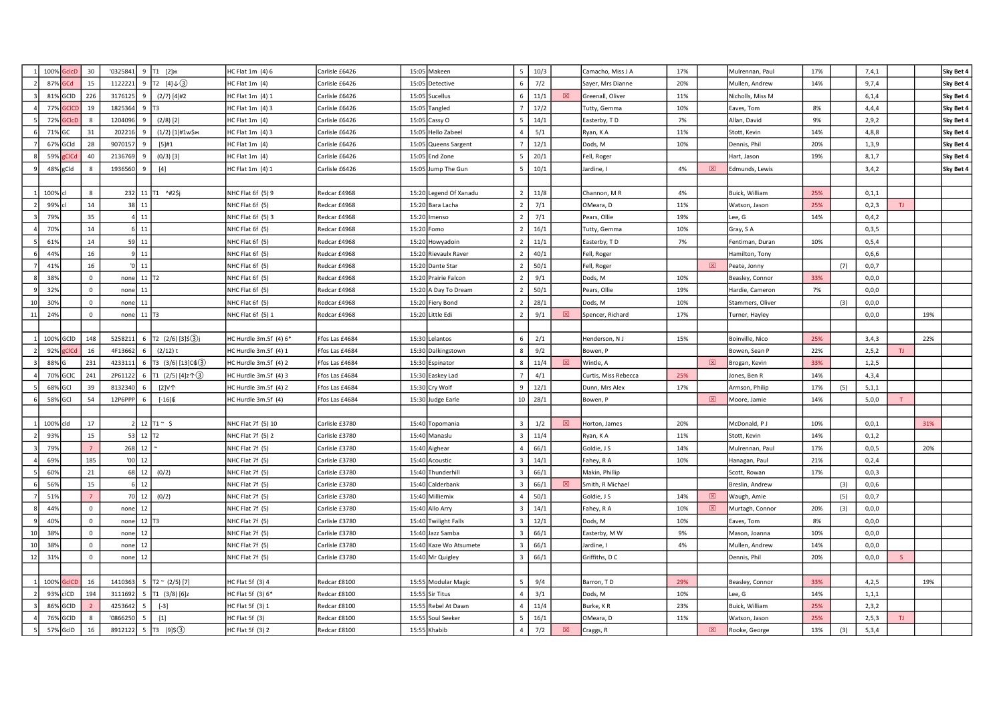|    | 100% GclcD | 30             | $'0325841$ 9 T1 [2] $#$      |                                    | HC Flat 1m (4) 6       | Carlisle £6426 | 15:05 Makeen           | 5 <sup>5</sup> | 10/3 |   | Camacho, Miss J A    | 17% |   | Mulrennan, Paul  | 17% |     | 7,4,1   |     |     | Sky Bet 4 |
|----|------------|----------------|------------------------------|------------------------------------|------------------------|----------------|------------------------|----------------|------|---|----------------------|-----|---|------------------|-----|-----|---------|-----|-----|-----------|
|    | 87% GCd    | 15             | 1122221                      | 9 T2 [4] $\downarrow$ (3)          | $HC$ Flat 1m $(4)$     | Carlisle £6426 | 15:05 Detective        | 6              | 7/2  |   | Sayer, Mrs Dianne    | 20% |   | Mullen, Andrew   | 14% |     | 9,7,4   |     |     | Sky Bet 4 |
|    | 81% GCID   | 226            | 3176125                      | $(2/7)$ [4]#2                      | HC Flat 1m (4) 1       | Carlisle £6426 | 15:05 Sucellus         | 6              | 11/1 | 図 | Greenall, Oliver     | 11% |   | Nicholls, Miss M |     |     | 6,1,4   |     |     | Sky Bet 4 |
|    | 77% GCICD  | 19             | 1825364                      | lтз                                | HC Flat 1m (4) 3       | Carlisle £6426 | 15:05 Tangled          |                | 17/2 |   | Tutty, Gemma         | 10% |   | Eaves, Tom       | 8%  |     | 4,4,4   |     |     | Sky Bet 4 |
|    | 72% GCIcD  | 8              | 1204096                      | $(2/8)$ [2]                        | HC Flat $1m(4)$        | Carlisle £6426 | 15:05 Cassy O          | $5^{\circ}$    | 14/1 |   | Easterby, TD         | 7%  |   | Allan, David     | 9%  |     | 2,9,2   |     |     | Sky Bet 4 |
|    | 71% GC     | 31             | 202216<br>9                  | $(1/2)$ [1]#1w\$ж                  | HC Flat 1m (4) 3       | Carlisle £6426 | 15:05 Hello Zabeel     | 4              | 5/1  |   | Ryan, K A            | 11% |   | Stott, Kevin     | 14% |     | 4,8,8   |     |     | Sky Bet 4 |
|    | 67% GCId   | 28             | 9070157                      | $[5]$ #1                           | $HC$ Flat 1m $(4)$     | Carlisle £6426 | 15:05 Queens Sargent   |                | 12/1 |   | Dods, M              | 10% |   | Dennis, Phil     | 20% |     | 1,3,9   |     |     | Sky Bet 4 |
|    | 59% gCICd  | 40             | 2136769<br>$\mathbf{q}$      | $(0/3)$ [3]                        | HC Flat $1m(4)$        | Carlisle £6426 | 15:05 End Zone         | 5              | 20/1 |   | Fell, Roger          |     |   | Hart, Jason      | 19% |     | 8,1,7   |     |     | Sky Bet 4 |
|    | 48% gCld   | 8              | 1936560                      | $[4]$                              | HC Flat 1m (4) 1       | Carlisle £6426 | 15:05 Jump The Gun     | $\overline{a}$ | 10/1 |   | Jardine, I           | 4%  | 図 | Edmunds, Lewis   |     |     | 3,4,2   |     |     | Sky Bet 4 |
|    |            |                |                              |                                    |                        |                |                        |                |      |   |                      |     |   |                  |     |     |         |     |     |           |
|    | 100% cl    | 8              |                              | 232 11 T1 ^#2\$j                   | NHC Flat 6f (5) 9      | Redcar £4968   | 15:20 Legend Of Xanadu | $\overline{2}$ | 11/8 |   | Channon, MR          | 4%  |   | Buick, William   | 25% |     | 0, 1, 1 |     |     |           |
|    | 99% cl     | 14             | 38 11                        |                                    | NHC Flat 6f (5)        | Redcar £4968   | 15:20 Bara Lacha       | $\overline{2}$ | 7/1  |   | OMeara, D            | 11% |   | Watson, Jason    | 25% |     | 0,2,3   | TJ. |     |           |
|    | 79%        | 35             | $4 \mid 11$                  |                                    | NHC Flat 6f (5) 3      | Redcar £4968   | 15:20 Imenso           | $\overline{2}$ | 7/1  |   | Pears, Ollie         | 19% |   | Lee, G           | 14% |     | 0,4,2   |     |     |           |
|    | 70%        | 14             | $6 \mid 11$                  |                                    | NHC Flat 6f (5)        | Redcar £4968   | 15:20 Fomo             | $\overline{2}$ | 16/1 |   | Tutty, Gemma         | 10% |   | Gray, SA         |     |     | 0,3,5   |     |     |           |
|    | 61%        | 14             | $59$ 11                      |                                    | NHC Flat 6f (5)        | Redcar £4968   | 15:20 Howyadoin        | 2              | 11/1 |   | Easterby, TD         | 7%  |   | Fentiman, Duran  | 10% |     | 0, 5, 4 |     |     |           |
|    | 44%        | 16             | $9$ 11                       |                                    | NHC Flat 6f (5)        | Redcar £4968   | 15:20 Rievaulx Raver   |                | 40/1 |   | Fell, Roger          |     |   | Hamilton, Tony   |     |     | 0,6,6   |     |     |           |
|    | 41%        | 16             | $ 0 $ 11                     |                                    | NHC Flat 6f (5)        | Redcar £4968   | 15:20 Dante Star       |                | 50/1 |   | Fell, Roger          |     | 図 | Peate, Jonny     |     | (7) | 0,0,7   |     |     |           |
|    | 38%        | $\mathsf 0$    | none $11$ T <sub>2</sub>     |                                    | NHC Flat 6f (5)        | Redcar £4968   | 15:20 Prairie Falcon   |                | 9/1  |   | Dods, M              | 10% |   | Beasley, Connor  | 33% |     | 0,0,0   |     |     |           |
|    | 32%        | $\mathsf 0$    | $none$ 11                    |                                    | NHC Flat 6f (5)        | Redcar £4968   | 15:20 A Day To Dream   | $\overline{2}$ | 50/1 |   | Pears, Ollie         | 19% |   | Hardie, Cameron  | 7%  |     | 0,0,0   |     |     |           |
| 10 | 30%        | $\mathsf 0$    | 11<br>none                   |                                    | NHC Flat 6f (5)        | Redcar £4968   | 15:20 Fiery Bond       | 2              | 28/1 |   | Dods, M              | 10% |   | Stammers, Oliver |     | (3) | 0,0,0   |     |     |           |
| 11 | 24%        | $\mathsf 0$    | none                         | $11$ T <sub>3</sub>                | NHC Flat 6f (5) 1      | Redcar £4968   | 15:20 Little Edi       | $\overline{2}$ | 9/1  | ⊠ | Spencer, Richard     | 17% |   | Turner, Hayley   |     |     | 0,0,0   |     | 19% |           |
|    |            |                |                              |                                    |                        |                |                        |                |      |   |                      |     |   |                  |     |     |         |     |     |           |
|    | 100% GCID  | 148            | 5258211                      | 6 $\boxed{72}$ (2/6) [3]\$(3)j     | HC Hurdle 3m.5f (4) 6* | Ffos Las £4684 | 15:30 Lelantos         | 6              | 2/1  |   | Henderson, NJ        | 15% |   | Boinville, Nico  | 25% |     | 3,4,3   |     | 22% |           |
|    | 92% gCICd  | 16             | 4F13662                      | $(2/12)$ t                         | HC Hurdle 3m.5f (4) 1  | Ffos Las £4684 | 15:30 Dalkingstown     | 8              | 9/2  |   | Bowen, P             |     |   | Bowen, Sean P    | 22% |     | 2, 5, 2 | TJ. |     |           |
|    | 88% G      | 231            | 4233111                      | 6   T3 $(3/6)$ [13] $C$ $(3)$      | HC Hurdle 3m.5f (4) 2  | Ffos Las £4684 | 15:30 Espinator        | 8              | 11/4 | 図 | Wintle, A            |     | 図 | Brogan, Kevin    | 33% |     | 1,2,5   |     |     |           |
|    | 70% GCIC   | 241            | 2P61122                      | 6   T1 $(2/5)$ [4]z $\uparrow$ (3) | HC Hurdle 3m.5f (4) 3  | Ffos Las £4684 | 15:30 Easkey Lad       |                | 4/1  |   | Curtis, Miss Rebecca | 25% |   | ones, Ben R      | 14% |     | 4,3,4   |     |     |           |
|    | 68% GCI    | 39             | 8132340                      | [2]V个                              | HC Hurdle 3m.5f (4) 2  | Ffos Las £4684 | 15:30 Cry Wolf         | 9              | 12/1 |   | Dunn, Mrs Alex       | 17% |   | Armson, Philip   | 17% | (5) | 5,1,1   |     |     |           |
|    | 58% GCI    | 54             | 12P6PPP                      | $[-16]$ \$                         | HC Hurdle 3m.5f (4)    | fos Las £4684  | 15:30 Judge Earle      | 10             | 28/1 |   | Bowen, P             |     | 図 | Moore, Jamie     | 14% |     | 5,0,0   |     |     |           |
|    |            |                |                              |                                    |                        |                |                        |                |      |   |                      |     |   |                  |     |     |         |     |     |           |
|    | 100% cld   | 17             |                              | $2$ 12 $T1 \sim$ \$                | NHC Flat 7f (5) 10     | Carlisle £3780 | 15:40 Topomania        | $\mathbf{3}$   | 1/2  | 冈 | Horton, James        | 20% |   | McDonald, PJ     | 10% |     | 0, 0, 1 |     | 31% |           |
|    | 93%        | 15             | $53$ 12 $T2$                 |                                    | NHC Flat 7f (5) 2      | Carlisle £3780 | 15:40 Manaslu          | $\overline{3}$ | 11/4 |   | Ryan, KA             | 11% |   | Stott, Kevin     | 14% |     | 0,1,2   |     |     |           |
|    | 79%        | $\overline{7}$ | $268$ 12                     |                                    | NHC Flat 7f (5)        | Carlisle £3780 | 15:40 Aighear          | $\overline{4}$ | 66/1 |   | Goldie, J S          | 14% |   | Mulrennan, Paul  | 17% |     | 0,0,5   |     | 20% |           |
|    | 69%        | 185            |                              |                                    | NHC Flat 7f (5)        | Carlisle £3780 | 15:40 Acoustic         | $\mathbf{B}$   | 14/1 |   | Fahey, R A           | 10% |   | Hanagan, Paul    | 21% |     | 0,2,4   |     |     |           |
|    | 60%        | 21             | $68$ 12                      | (0/2)                              | NHC Flat 7f (5)        | Carlisle £3780 | 15:40 Thunderhill      |                | 66/1 |   | Makin, Phillip       |     |   | Scott, Rowan     | 17% |     | 0,0,3   |     |     |           |
|    | 56%        | 15             | $6 \overline{\phantom{a}12}$ |                                    | NHC Flat 7f (5)        | Carlisle £3780 | 15:40 Calderbank       | 3              | 66/1 | 冈 | Smith, R Michael     |     |   | Breslin, Andrew  |     | (3) | 0,0,6   |     |     |           |
|    | 51%        | $\overline{7}$ | 70 12                        | (0/2)                              | NHC Flat 7f (5)        | Carlisle £3780 | 15:40 Milliemix        | $\overline{4}$ | 50/1 |   | Goldie, J S          | 14% | ⊠ | Waugh, Amie      |     | (5) | 0, 0, 7 |     |     |           |
|    | 44%        | $\mathsf 0$    | $none$ 12                    |                                    | NHC Flat 7f (5)        | Carlisle £3780 | 15:40 Allo Arry        | $\overline{3}$ | 14/1 |   | Fahey, R A           | 10% | 図 | Murtagh, Connor  | 20% | (3) | 0,0,0   |     |     |           |
|    | 40%        | $\mathbf 0$    | 12 T <sub>3</sub><br>none    |                                    | NHC Flat 7f (5)        | Carlisle £3780 | 15:40 Twilight Falls   | $\mathbf{R}$   | 12/1 |   | Dods, M              | 10% |   | Eaves, Tom       | 8%  |     | 0,0,0   |     |     |           |
| 10 | 38%        | $\mathsf 0$    | 12<br>none                   |                                    | NHC Flat 7f (5)        | Carlisle £3780 | 15:40 Jazz Samba       | $\mathbf{3}$   | 66/1 |   | Easterby, M W        | 9%  |   | Mason, Joanna    | 10% |     | 0,0,0   |     |     |           |
| 10 | 38%        | $\mathsf 0$    | 12<br>none                   |                                    | NHC Flat 7f (5)        | Carlisle £3780 | 15:40 Kaze Wo Atsumete |                | 66/1 |   | Jardine, I           | 4%  |   | Mullen, Andrew   | 14% |     | 0,0,0   |     |     |           |
| 12 | 31%        | $\mathsf 0$    | 12<br>none                   |                                    | NHC Flat 7f (5)        | Carlisle £3780 | 15:40 Mr Quigley       | 3              | 66/1 |   | Griffiths, DC        |     |   | Dennis, Phil     | 20% |     | 0,0,0   |     |     |           |
|    |            |                |                              |                                    |                        |                |                        |                |      |   |                      |     |   |                  |     |     |         |     |     |           |
|    | 100% GcICD | 16             | 1410363                      | 5 $T2 \approx (2/5)$ [7]           | HC Flat 5f (3) 4       | Redcar £8100   | 15:55 Modular Magic    | 5 <sup>1</sup> | 9/4  |   | Barron, TD           | 29% |   | Beasley, Connor  | 33% |     | 4,2,5   |     | 19% |           |
|    | 93% cICD   | 194            | 3111692                      | 5 $\boxed{71}$ (3/8) $\boxed{6}$ z | HC Flat 5f (3) 6*      | Redcar £8100   | 15:55 Sir Titus        | $\overline{4}$ | 3/1  |   | Dods, M              | 10% |   | ee, G            | 14% |     | 1, 1, 1 |     |     |           |
|    | 86% GCID   |                | 4253642                      | $[-3]$                             | HC Flat 5f (3) 1       | Redcar £8100   | 15:55 Rebel At Dawn    |                | 11/4 |   | Burke, KR            | 23% |   | Buick, William   | 25% |     | 2,3,2   |     |     |           |
|    | 76% GCID   | $\mathbf{8}$   | '0866250                     | $[1]$                              | HC Flat 5f (3)         | Redcar £8100   | 15:55 Soul Seeker      |                | 16/1 |   | OMeara, D            | 11% |   | Watson, Jason    | 25% |     | 2, 5, 3 | TJ. |     |           |
|    | 57% GcID   | 16             | 8912122                      | 5   T3 [9]\$ 3                     | HC Flat 5f (3) 2       | Redcar £8100   | 15:55 Khabib           | $\overline{4}$ | 7/2  | 図 | Craggs, R            |     | 図 | Rooke, George    | 13% | (3) | 5,3,4   |     |     |           |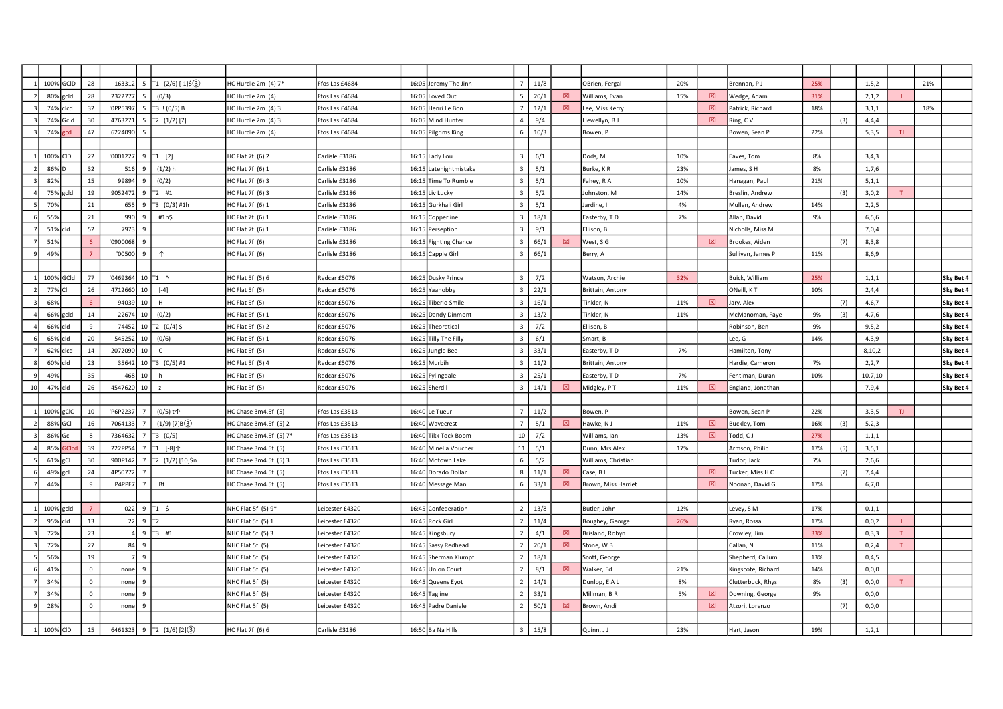|    | 100% GCID |       | 28           | 163312   |                    | 5   T1 $(2/6)$ [-1]\$(3)       | HC Hurdle 2m (4) 7*    | Ffos Las £4684  | 16:05 Jeremy The Jinn  |                          | 11/8 |             | OBrien, Fergal      | 20% |             | Brennan, PJ        | 25% |     | 1, 5, 2 |     | 21% |           |
|----|-----------|-------|--------------|----------|--------------------|--------------------------------|------------------------|-----------------|------------------------|--------------------------|------|-------------|---------------------|-----|-------------|--------------------|-----|-----|---------|-----|-----|-----------|
|    | 80% gcld  |       | 28           | 232277   |                    | (0/3)                          | HC Hurdle 2m (4)       | Ffos Las £4684  | 16:05 Loved Out        |                          | 20/1 | 図           | Williams, Evan      | 15% | 図           | Wedge, Adam        | 31% |     | 2,1,2   |     |     |           |
|    | 74% clcd  |       | 32           | '0PP5397 |                    | 5   T3 $(0/5)$ B               | IC Hurdle 2m (4) 3     | Ffos Las £4684  | 16:05 Henri Le Bon     |                          | 12/1 | 図           | Lee, Miss Kerry     |     | $\boxtimes$ | Patrick, Richard   | 18% |     | 3,1,1   |     | 18% |           |
|    | 74% Gcld  |       | 30           | 4763271  |                    | $5$   T2 $(1/2)$ [7]           | HC Hurdle 2m (4) 3     | Ffos Las £4684  | 16:05 Mind Hunter      |                          | 9/4  |             | Llewellyn, B J      |     | $\boxtimes$ | Ring, CV           |     | (3) | 4,4,4   |     |     |           |
|    | 74%       | zcd   | 47           | 6224090  | 5                  |                                | HC Hurdle 2m (4)       | Ffos Las £4684  | 16:05 Pilgrims King    | 6                        | 10/3 |             | Bowen, P            |     |             | Bowen, Sean P      | 22% |     | 5,3,5   | TJ. |     |           |
|    |           |       |              |          |                    |                                |                        |                 |                        |                          |      |             |                     |     |             |                    |     |     |         |     |     |           |
|    | 100% CID  |       | 22           | '0001227 |                    | $9$ T1 [2]                     | HC Flat 7f (6) 2       | Carlisle £3186  | 16:15 Lady Lou         |                          | 6/1  |             | Dods, M             | 10% |             | Eaves, Tom         | 8%  |     | 3,4,3   |     |     |           |
|    | 86%D      |       | 32           | 516      | 9                  | $(1/2)$ h                      | HC Flat 7f (6) 1       | Carlisle £3186  | 16:15 Latenightmistake | $\mathbf{B}$             | 5/1  |             | Burke, KR           | 23% |             | lames, SH          | 8%  |     | 1,7,6   |     |     |           |
|    | 82%       |       | 15           | 99894    | 9                  | (0/2)                          | HC Flat 7f (6) 3       | Carlisle £3186  | 16:15 Time To Rumble   |                          | 5/1  |             | Fahey, R A          | 10% |             | Hanagan, Paul      | 21% |     | 5,1,1   |     |     |           |
|    | 75% gcld  |       | 19           | 9052472  |                    | $9$ T <sub>2</sub> #1          | HC Flat 7f (6) 3       | Carlisle £3186  | 16:15 Liv Lucky        |                          | 5/2  |             | Johnston, M         | 14% |             | Breslin, Andrew    |     | (3) | 3,0,2   |     |     |           |
|    | 70%       |       | 21           | 655      |                    | $9$ T3 $(0/3)$ #1h             | HC Flat 7f (6) 1       | Carlisle £3186  | 16:15 Gurkhali Girl    | $\mathbf{R}$             | 5/1  |             | Jardine, I          | 4%  |             | Mullen, Andrew     | 14% |     | 2,2,5   |     |     |           |
|    | 55%       |       | 21           | 990      | 9 <sup>1</sup>     | #1h\$                          | HC Flat 7f (6) 1       | Carlisle £3186  | 16:15 Copperline       |                          | 18/1 |             | Easterby, TD        | 7%  |             | Allan, David       | 9%  |     | 6,5,6   |     |     |           |
|    | 51% cld   |       | 52           | 7973     | q                  |                                | HC Flat 7f (6) 1       | Carlisle £3186  | 16:15 Perseption       |                          | 9/1  |             | Ellison, B          |     |             | Nicholls, Miss M   |     |     | 7,0,4   |     |     |           |
|    | 51%       |       | -6           | '0900068 | 9                  |                                | HC Flat 7f (6)         | Carlisle £3186  | 16:15 Fighting Chance  |                          | 66/1 | 図           | West, S G           |     | $\boxtimes$ | Brookes, Aiden     |     | (7) | 8,3,8   |     |     |           |
|    | 49%       |       |              | '00500   | 9 <sup>1</sup>     | $\uparrow$                     | HC Flat 7f (6)         | Carlisle £3186  | 16:15 Capple Girl      |                          | 66/1 |             | Berry, A            |     |             | Sullivan, James P  | 11% |     | 8.6.9   |     |     |           |
|    |           |       |              |          |                    |                                |                        |                 |                        |                          |      |             |                     |     |             |                    |     |     |         |     |     |           |
|    | 100% GCId |       | 77           | '0469364 |                    | $10$ T1 $\land$                | HC Flat 5f (5) 6       | Redcar £5076    | 16:25 Dusky Prince     | $\mathbf{B}$             | 7/2  |             | Watson, Archie      | 32% |             | Buick, William     | 25% |     | 1, 1, 1 |     |     | Sky Bet 4 |
|    | 77% CI    |       | 26           | 4712660  | 10 <sup>1</sup>    | $[-4]$                         | HC Flat 5f (5)         | Redcar £5076    | 16:25 Yaahobby         |                          | 22/1 |             | Brittain, Antony    |     |             | ONeill, KT         | 10% |     | 2,4,4   |     |     | Sky Bet 4 |
|    | 68%       |       |              | 94039    | 10 <sup>1</sup>    | H                              | HC Flat 5f (5)         | Redcar £5076    | 16:25 Tiberio Smile    |                          | 16/1 |             | Tinkler, N          | 11% | 図           | lary, Alex         |     | (7) | 4,6,7   |     |     | Sky Bet 4 |
|    | 66% gcld  |       | 14           | 22674    | 10                 | (0/2)                          | HC Flat 5f (5) 1       | Redcar £5076    | 16:25 Dandy Dinmont    |                          | 13/2 |             | Tinkler, N          | 11% |             | McManoman, Faye    | 9%  | (3) | 4,7,6   |     |     | Sky Bet 4 |
|    | 66% cld   |       | 9            | 74452    |                    | $10$ T <sub>2</sub> $(0/4)$ \$ | HC Flat 5f (5) 2       | Redcar £5076    | 16:25 Theoretical      |                          | 7/2  |             | Ellison, B          |     |             | Robinson, Ben      | 9%  |     | 9, 5, 2 |     |     | Sky Bet 4 |
|    | 65% cld   |       | 20           | 545252   | 10 <sup>1</sup>    | (0/6)                          | HC Flat 5f (5) 1       | Redcar £5076    | 16:25 Tilly The Filly  |                          | 6/1  |             | Smart, B            |     |             | Lee, G             | 14% |     | 4,3,9   |     |     | Sky Bet 4 |
|    | 62% clcd  |       | 14           | 2072090  | 10 <sup>1</sup>    | $\mathsf{C}$                   | HC Flat 5f (5)         | Redcar £5076    | 16:25 Jungle Bee       |                          | 33/1 |             | Easterby, TD        | 7%  |             | Hamilton, Tony     |     |     | 8,10,2  |     |     | Sky Bet 4 |
|    | 60% cld   |       | 23           | 35642    |                    | 10   T3 $(0/5)$ #1             | HC Flat 5f (5) 4       | Redcar £5076    | 16:25 Murbih           | $\mathbf{R}$             | 11/2 |             | Brittain, Antony    |     |             | Hardie, Cameron    | 7%  |     | 2,2,7   |     |     | Sky Bet 4 |
|    | 49%       |       | 35           | 468      | 10 <sup>1</sup>    | h                              | HC Flat 5f (5)         | Redcar £5076    | 16:25 Fylingdale       |                          | 25/1 |             | Easterby, TD        | 7%  |             | Fentiman, Duran    | 10% |     | 10,7,10 |     |     | Sky Bet 4 |
| 10 | 47%       | cld   | 26           | 4547620  | 10 <sup>1</sup>    | z                              | HC Flat 5f (5)         | Redcar £5076    | 16:25 Sherdil          |                          | 14/1 | 図           | Midgley, PT         | 11% | 図           | England, Jonathan  |     |     | 7,9,4   |     |     | Sky Bet 4 |
|    |           |       |              |          |                    |                                |                        |                 |                        |                          |      |             |                     |     |             |                    |     |     |         |     |     |           |
|    | 100% gCIC |       | 10           | 'P6P2237 | $\overline{7}$     | (0/5) t个                       | HC Chase 3m4.5f (5)    | Ffos Las £3513  | 16:40 Le Tueur         |                          | 11/2 |             | Bowen, P            |     |             | Bowen, Sean P      | 22% |     | 3,3,5   | TJ. |     |           |
|    | 88% GCI   |       | 16           | 7064133  | $\overline{7}$     | $(1/9)$ [7]B $(3)$             | HC Chase 3m4.5f (5) 2  | Ffos Las £3513  | 16:40 Wavecrest        |                          | 5/1  | 図           | Hawke, NJ           | 11% | 図           | Buckley, Tom       | 16% | (3) | 5,2,3   |     |     |           |
|    | 86% Gcl   |       | $\mathbf{8}$ | 7364632  |                    | $7$ T <sub>3</sub> (0/5)       | HC Chase 3m4.5f (5) 7* | Ffos Las £3513  | 16:40 Tikk Tock Boom   | 10                       | 7/2  |             | Williams, Ian       | 13% | 図           | Todd, C J          | 27% |     | 1, 1, 1 |     |     |           |
|    | 85%       | GClcd | 39           | 222PP54  |                    | 7 T1 [-8]个                     | HC Chase 3m4.5f (5)    | Ffos Las £3513  | 16:40 Minella Voucher  | 11                       | 5/1  |             | Dunn, Mrs Alex      | 17% |             | Armson, Philip     | 17% | (5) | 3, 5, 1 |     |     |           |
|    | 619       | gCl   | 30           | 900P142  |                    | 7 T2 (1/2) [10]\$n             | HC Chase 3m4.5f (5) 3  | Ffos Las £3513  | 16:40 Motown Lake      | 6                        | 5/2  |             | Williams, Christian |     |             | Fudor, Jack        | 7%  |     | 2,6,6   |     |     |           |
|    | 49% gcl   |       | 24           | 4P5077   |                    |                                | HC Chase 3m4.5f (5)    | Ffos Las £3513  | 16:40 Dorado Dollar    | $\mathbf{R}$             | 11/1 | 図           | Case, B I           |     | 図           | Tucker, Miss H C   |     | (7) | 7,4,4   |     |     |           |
|    | 44%       |       | $\mathbf{q}$ | 'P4PPF7  | $\overline{7}$     | Bt                             | HC Chase 3m4.5f (5)    | Ffos Las £3513  | 16:40 Message Man      | 6                        | 33/1 | $\boxtimes$ | Brown, Miss Harriet |     | 図           | Noonan, David G    | 17% |     | 6,7,0   |     |     |           |
|    |           |       |              |          |                    |                                |                        |                 |                        |                          |      |             |                     |     |             |                    |     |     |         |     |     |           |
|    | 100% gcld |       |              | '022     |                    | 9 T1 S                         | NHC Flat 5f (5) 9*     | Leicester £4320 | 16:45 Confederation    | $\overline{2}$           | 13/8 |             | Butler, John        | 12% |             | Levey, S M         | 17% |     | 0, 1, 1 |     |     |           |
|    | 95%       | cld   | 13           | 22       | $9$ T <sub>2</sub> |                                | NHC Flat 5f (5) 1      | Leicester £4320 | 16:45 Rock Girl        |                          | 11/4 |             | Boughey, George     | 26% |             | Ryan, Rossa        | 17% |     | 0, 0, 2 |     |     |           |
|    | 72%       |       | 23           |          |                    | $9$ T3 #1                      | NHC Flat 5f (5) 3      | Leicester £4320 | 16:45 Kingsbury        |                          | 4/1  | 図           | Brisland, Robyn     |     |             | Crowley, Jim       | 33% |     | 0,3,3   |     |     |           |
|    | 72%       |       | 27           | 84       | 9                  |                                | NHC Flat 5f (5)        | Leicester £4320 | 16:45 Sassy Redhead    |                          | 20/1 | 図           | Stone, W B          |     |             | Callan, N          | 11% |     | 0,2,4   |     |     |           |
|    | 56%       |       | 19           |          | 9                  |                                | NHC Flat 5f (5)        | Leicester £4320 | 16:45 Sherman Klumpf   |                          | 18/1 |             | Scott, George       |     |             | Shepherd, Callum   | 13% |     | 0,4,5   |     |     |           |
|    | 41%       |       | $\mathbf 0$  | none     | 9                  |                                | NHC Flat 5f (5)        | Leicester £4320 | 16:45 Union Court      | $\overline{\phantom{a}}$ | 8/1  | 図           | Walker, Ed          | 21% |             | Kingscote, Richard | 14% |     | 0,0,0   |     |     |           |
|    | 34%       |       | $\Omega$     | none     | $\mathbf{q}$       |                                | NHC Flat 5f (5)        | Leicester £4320 | 16:45 Queens Eyot      |                          | 14/1 |             | Dunlop, E A L       | 8%  |             | Clutterbuck, Rhys  | 8%  | (3) | 0,0,0   | T.  |     |           |
|    | 34%       |       | $\Omega$     | none     | 9                  |                                | NHC Flat 5f (5)        | Leicester £4320 | 16:45 Tagline          |                          | 33/1 |             | Millman, B R        | 5%  | ⊠           | Downing, George    | 9%  |     | 0, 0, 0 |     |     |           |
|    | 28%       |       | $\Omega$     | none     | $\mathbf{q}$       |                                | NHC Flat 5f (5)        | Leicester £4320 | 16:45 Padre Daniele    |                          | 50/1 | 図           | Brown, Andi         |     | $\boxtimes$ | Atzori, Lorenzo    |     | (7) | 0,0,0   |     |     |           |
|    |           |       |              |          |                    |                                |                        |                 |                        |                          |      |             |                     |     |             |                    |     |     |         |     |     |           |
|    | 100% CID  |       | 15           |          |                    | 6461323 9 T2 $(1/6)$ [2] $(3)$ | HC Flat 7f (6) 6       | Carlisle £3186  | 16:50 Ba Na Hills      |                          | 15/8 |             | Quinn, JJ           | 23% |             | Hart, Jason        | 19% |     | 1, 2, 1 |     |     |           |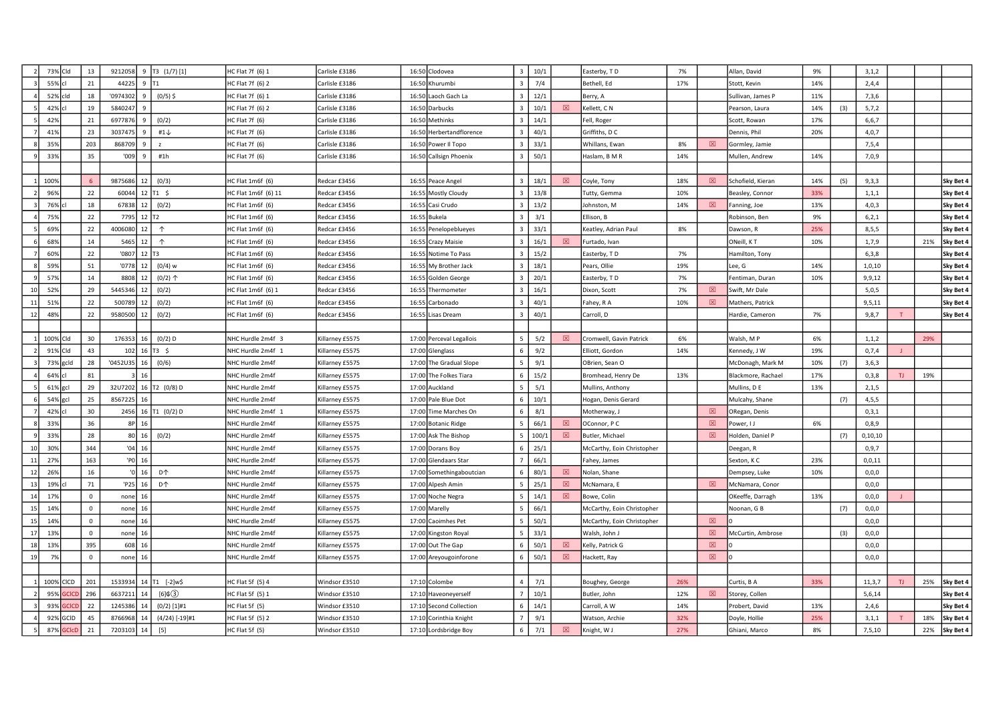|    | 73% Cld   |              | 13          | 9212058  |                     | $9$ T3 $(1/7)$ [1]     | HC Flat 7f (6) 1        | Carlisle £3186  | 16:50 Clodovea           | $\mathbf{3}$            | 10/1  |     | Easterby, TD               | 7%  |             | Allan, David       | 9%  |     | 3,1,2   |     |     |           |
|----|-----------|--------------|-------------|----------|---------------------|------------------------|-------------------------|-----------------|--------------------------|-------------------------|-------|-----|----------------------------|-----|-------------|--------------------|-----|-----|---------|-----|-----|-----------|
|    | 55% cl    |              | 21          | 44225    | 9                   | IT1                    | HC Flat 7f (6) 2        | Carlisle £3186  | 16:50 Khurumbi           | $\overline{3}$          | 7/4   |     | Bethell, Ed                | 17% |             | Stott, Kevin       | 14% |     | 2,4,4   |     |     |           |
|    | 52% cld   |              | 18          | '0974302 | $\mathbf{q}$        | $(0/5)$ \$             | HC Flat 7f (6) 1        | Carlisle £3186  | 16:50 Laoch Gach La      | $\overline{3}$          | 12/1  |     | Berry, A                   |     |             | Sullivan, James P  | 11% |     | 7,3,6   |     |     |           |
|    | 42% cl    |              | 19          | 584024   |                     |                        | HC Flat 7f (6) 2        | Carlisle £3186  | 16:50 Darbucks           |                         | 10/1  | ⊠   | Kellett, CN                |     |             | Pearson, Laura     | 14% | (3) | 5,7,2   |     |     |           |
|    | 42%       |              | 21          | 697787   |                     | (0/2)                  | IC Flat 7f (6)          | Carlisle £3186  | 16:50 Methinks           |                         | 14/1  |     | Fell, Roger                |     |             | Scott, Rowan       | 17% |     | 6,6,7   |     |     |           |
|    | 41%       |              | 23          | 3037475  |                     | #1 $\downarrow$        | HC Flat 7f (6)          | Carlisle £3186  | 16:50 Herbertandflorence |                         | 40/1  |     | Griffiths, DC              |     |             | Dennis, Phil       | 20% |     | 4,0,7   |     |     |           |
|    | 35%       |              | 203         | 868709   | 9                   | z                      | HC Flat 7f (6)          | Carlisle £3186  | 16:50 Power II Topo      |                         | 33/1  |     | Whillans, Ewan             | 8%  | 図           | Gormley, Jamie     |     |     | 7,5,4   |     |     |           |
|    | 33%       |              | 35          | '009     | 9                   | #1h                    | HC Flat 7f (6)          | Carlisle £3186  | 16:50 Callsign Phoenix   |                         | 50/1  |     | Haslam, B M R              | 14% |             | Mullen, Andrew     | 14% |     | 7,0,9   |     |     |           |
|    |           |              |             |          |                     |                        |                         |                 |                          |                         |       |     |                            |     |             |                    |     |     |         |     |     |           |
|    | 100%      |              |             | 9875686  | 12                  | (0/3)                  | HC Flat 1m6f (6)        | Redcar £3456    | 16:55 Peace Angel        | $\overline{3}$          | 18/1  | 図   | Coyle, Tony                | 18% | 図           | Schofield, Kieran  | 14% | (5) | 9,3,3   |     |     | Sky Bet 4 |
|    | 96%       |              | 22          | 60044    |                     | $12$ T <sub>1</sub> \$ | IC Flat 1m6f (6) 11     | Redcar £3456    | 16:55 Mostly Cloudy      |                         | 13/8  |     | Tutty, Gemma               | 10% |             | Beasley, Connor    | 33% |     | 1, 1, 1 |     |     | Sky Bet 4 |
|    | 76%       |              | 18          | 67838    | 12                  | (0/2)                  | IC Flat 1m6f (6)        | Redcar £3456    | 16:55 Casi Crudo         |                         | 13/2  |     | Johnston, M                | 14% | 図           | Fanning, Joe       | 13% |     | 4,0,3   |     |     | Sky Bet 4 |
|    | 75%       |              | 22          | 7795     | $12$ T <sub>2</sub> |                        | HC Flat 1m6f (6)        | Redcar £3456    | 16:55 Bukela             |                         | 3/1   |     | Ellison, B                 |     |             | Robinson, Ben      | 9%  |     | 6, 2, 1 |     |     | Sky Bet 4 |
|    | 69%       |              | 22          | 4006080  | 12 <sup>1</sup>     | $\uparrow$             | HC Flat 1m6f (6)        | Redcar £3456    | 16:55 Penelopeblueyes    | $\mathbf{R}$            | 33/1  |     | Keatley, Adrian Paul       | 8%  |             | Dawson, R          | 25% |     | 8,5,5   |     |     | Sky Bet 4 |
|    | 68%       |              | 14          | 5465     | 12                  | $\uparrow$             | HC Flat 1m6f (6)        | Redcar £3456    | 16:55 Crazy Maisie       |                         | 16/1  | 図   | Furtado, Ivan              |     |             | ONeill, KT         | 10% |     | 1,7,9   |     | 21% | Sky Bet 4 |
|    | 60%       |              | 22          | '0807    | $12$ T <sub>3</sub> |                        | IC Flat 1m6f (6)        | Redcar £3456    | 16:55 Notime To Pass     |                         | 15/2  |     | Easterby, TD               | 7%  |             | Hamilton, Tony     |     |     | 6, 3, 8 |     |     | Sky Bet 4 |
|    | 59%       |              | 51          | '0778    | 12                  | (0/4) w                | IC Flat 1m6f (6)        | Redcar £3456    | 16:55 My Brother Jack    |                         | 18/1  |     | Pears, Ollie               | 19% |             | ee, G              | 14% |     | 1,0,10  |     |     | Sky Bet 4 |
|    | 57%       |              | 14          | 8808     | 12                  | $(0/2)$ $\uparrow$     | IC Flat 1m6f (6)        | Redcar £3456    | 16:55 Golden George      |                         | 20/1  |     | Easterby, TD               | 7%  |             | Fentiman, Duran    | 10% |     | 9,9,12  |     |     | Sky Bet 4 |
| 10 | 52%       |              | 29          | 5445346  | 12                  | (0/2)                  | HC Flat 1m6f (6) 1      | Redcar £3456    | 16:55 Thermometer        | $\overline{\mathbf{3}}$ | 16/1  |     | Dixon, Scott               | 7%  | ⊠           | Swift, Mr Dale     |     |     | 5,0,5   |     |     | Sky Bet 4 |
| 11 | 51%       |              | 22          | 500789   | 12                  | (0/2)                  | IC Flat 1m6f (6)        | Redcar £3456    | 16:55 Carbonado          | $\mathbf{R}$            | 40/1  |     | Fahey, R A                 | 10% | 図           | Mathers, Patrick   |     |     | 9,5,11  |     |     | Sky Bet 4 |
| 12 | 48%       |              | 22          | 9580500  | 12                  | (0/2)                  | HC Flat 1m6f (6)        | Redcar £3456    | 16:55 Lisas Dream        |                         | 40/1  |     | Carroll, D                 |     |             | Hardie, Cameron    | 7%  |     | 9,8,7   |     |     | Sky Bet 4 |
|    |           |              |             |          |                     |                        |                         |                 |                          |                         |       |     |                            |     |             |                    |     |     |         |     |     |           |
|    | 100% Cld  |              | 30          | 176353   | 16                  | $(0/2)$ D              | NHC Hurdle 2m4f 3       | Killarney £5575 | 17:00 Perceval Legallois |                         | 5/2   | 冈   | Cromwell, Gavin Patrick    | 6%  |             | Walsh, MP          | 6%  |     | 1, 1, 2 |     | 29% |           |
|    | 91% Cld   |              | 43          | 102      |                     | $16$ T3 \$             | NHC Hurdle 2m4f 1       | Killarney £5575 | 17:00 Glenglass          |                         | 9/2   |     | Elliott, Gordon            | 14% |             | Kennedy, J W       | 19% |     | 0,7,4   |     |     |           |
|    | 73% gcld  |              | 28          | '0452U35 | 16                  | (0/6)                  | NHC Hurdle 2m4f         | Killarney £5575 | 17:00 The Gradual Slope  | -5                      | 9/1   |     | OBrien, Sean O             |     |             | McDonagh, Mark M   | 10% | (7) | 3,6,3   |     |     |           |
|    | 64% cl    |              | 81          |          | 16                  |                        | NHC Hurdle 2m4f         | Killarney £5575 | 17:00 The Folkes Tiara   |                         | 15/2  |     | Bromhead, Henry De         | 13% |             | Blackmore, Rachael | 17% |     | 0,3,8   | TJ. | 19% |           |
|    | 61% gcl   |              | 29          | 32U7202  |                     | 16 T2 (0/8) D          | NHC Hurdle 2m4f         | Killarney £5575 | 17:00 Auckland           |                         | 5/1   |     | Mullins, Anthony           |     |             | Mullins, D E       | 13% |     | 2,1,5   |     |     |           |
|    | 54% gcl   |              | 25          | 856722   |                     |                        | NHC Hurdle 2m4f         | Killarney £5575 | 17:00 Pale Blue Dot      |                         | 10/1  |     | Hogan, Denis Gerard        |     |             | Mulcahy, Shane     |     | (7) | 4, 5, 5 |     |     |           |
|    | 42% cl    |              | 30          | 2456     |                     | 16 T1 (0/2) D          | NHC Hurdle 2m4f 1       | Killarney £5575 | 17:00 Time Marches On    |                         | 8/1   |     | Motherway, J               |     | 図           | ORegan, Denis      |     |     | 0,3,1   |     |     |           |
|    | 33%       |              | 36          | 8P       | 16                  |                        | NHC Hurdle 2m4f         | Killarney £5575 | 17:00 Botanic Ridge      |                         | 66/1  | ΙXΙ | OConnor, PC                |     | 図           | Power, I J         | 6%  |     | 0, 8, 9 |     |     |           |
|    | 33%       |              | 28          | 80       | 16                  | (0/2)                  | NHC Hurdle 2m4f         | Killarney £5575 | 17:00 Ask The Bishop     |                         | 100/1 | ⊠   | Butler, Michael            |     | $\boxtimes$ | Holden, Daniel P   |     | (7) | 0,10,10 |     |     |           |
| 10 | 30%       |              | 344         | '04      | 16                  |                        | NHC Hurdle 2m4f         | Killarney £5575 | 17:00 Dorans Boy         |                         | 25/1  |     | McCarthy, Eoin Christopher |     |             | Deegan, R          |     |     | 0, 9, 7 |     |     |           |
| 11 | 27%       |              | 163         | 'PO      | 16                  |                        | NHC Hurdle 2m4f         | Killarney £5575 | 17:00 Glendaars Star     |                         | 66/1  |     | Fahey, James               |     |             | Sexton, KC         | 23% |     | 0,0,11  |     |     |           |
| 12 | 26%       |              | 16          |          | 16                  | D <sup>1</sup>         | NHC Hurdle 2m4f         | Gillarney £5575 | 17:00 Somethingaboutcian |                         | 80/1  | 図   | Nolan, Shane               |     |             | Dempsey, Luke      | 10% |     | 0,0,0   |     |     |           |
| 13 | 19%       |              | 71          | 'P25     | 16                  | <b>D个</b>              | NHC Hurdle 2m4f         | Killarney £5575 | 17:00 Alpesh Amin        |                         | 25/1  | 図   | McNamara, E                |     | 図           | McNamara, Conor    |     |     | 0,0,0   |     |     |           |
| 14 | 17%       |              | $\mathbf 0$ | none     | 16                  |                        | NHC Hurdle 2m4f         | Killarney £5575 | 17:00 Noche Negra        |                         | 14/1  | ⊠   | Bowe, Colin                |     |             | OKeeffe, Darragh   | 13% |     | 0,0,0   |     |     |           |
| 15 | 14%       |              | $\Omega$    | none     | 16                  |                        | NHC Hurdle 2m4f         | Killarney £5575 | 17:00 Marelly            |                         | 66/1  |     | McCarthy, Eoin Christopher |     |             | Noonan, G B        |     | (7) | 0,0,0   |     |     |           |
| 15 | 14%       |              | $\Omega$    | none     | 16                  |                        | NHC Hurdle 2m4f         | Killarney £5575 | 17:00 Caoimhes Pet       |                         | 50/1  |     | McCarthy, Eoin Christopher |     | 冈           |                    |     |     | 0, 0, 0 |     |     |           |
| 17 | 13%       |              | $\Omega$    | none     | 16                  |                        | NHC Hurdle 2m4f         | Killarney £5575 | 17:00 Kingston Royal     |                         | 33/1  |     | Walsh, John J              |     | $\boxtimes$ | McCurtin, Ambrose  |     | (3) | 0,0,0   |     |     |           |
| 18 | 13%       |              | 395         | 608      | 16                  |                        | NHC Hurdle 2m4f         | Killarney £5575 | 17:00 Out The Gap        |                         | 50/1  | 図   | Kelly, Patrick G           |     | $\boxtimes$ |                    |     |     | 0, 0, 0 |     |     |           |
| 19 | 7%        |              | $\mathbf 0$ | none     | 16                  |                        | NHC Hurdle 2m4f         | Killarney £5575 | 17:00 Areyougoinforone   |                         | 50/1  | 図   | Hackett, Ray               |     | $\boxtimes$ |                    |     |     | 0, 0, 0 |     |     |           |
|    |           |              |             |          |                     |                        |                         |                 |                          |                         |       |     |                            |     |             |                    |     |     |         |     |     |           |
|    | 100% CICD |              | 201         | 1533934  |                     | 14 T1 [-2]w\$          | HC Flat 5f (5) 4        | Windsor £3510   | 17:10 Colombe            | $\overline{4}$          | 7/1   |     | Boughey, George            | 26% |             | Curtis, B A        | 33% |     | 11,3,7  | TJ. | 25% | Sky Bet 4 |
|    | 95%       | <b>SCICI</b> | 296         | 663721   |                     | $[6]$ $(3)$            | HC Flat 5f (5) 1        | Windsor £3510   | 17:10 Haveoneyerself     |                         | 10/1  |     | Butler, John               | 12% | 図           | Storey, Collen     |     |     | 5,6,14  |     |     | Sky Bet 4 |
|    | 93%       | <b>CIC</b>   | 22          | 124538   |                     | $(0/2)$ [1]#1          | IC Flat 5f (5)          | Nindsor £3510   | 17:10 Second Collection  |                         | 14/1  |     | Carroll, A W               | 14% |             | Probert, David     | 13% |     | 2,4,6   |     |     | Sky Bet 4 |
|    | 92% GCID  |              | 45          | 876696   |                     | $(4/24)$ [-19]#1       | <b>IC Flat 5f (5) 2</b> | Nindsor £3510   | 17:10 Corinthia Knight   |                         | 9/1   |     | Watson, Archie             | 32% |             | Doyle, Hollie      | 25% |     | 3,1,1   |     | 18% | Sky Bet 4 |
|    | 87%       | <b>GCICD</b> | 21          | 7203103  | 14                  | $[5]$                  | IC Flat 5f (5)          | Windsor £3510   | 17:10 Lordsbridge Boy    | 6                       | 7/1   | 図   | Knight, W J                | 27% |             | Ghiani, Marco      | 8%  |     | 7,5,10  |     | 22% | Sky Bet 4 |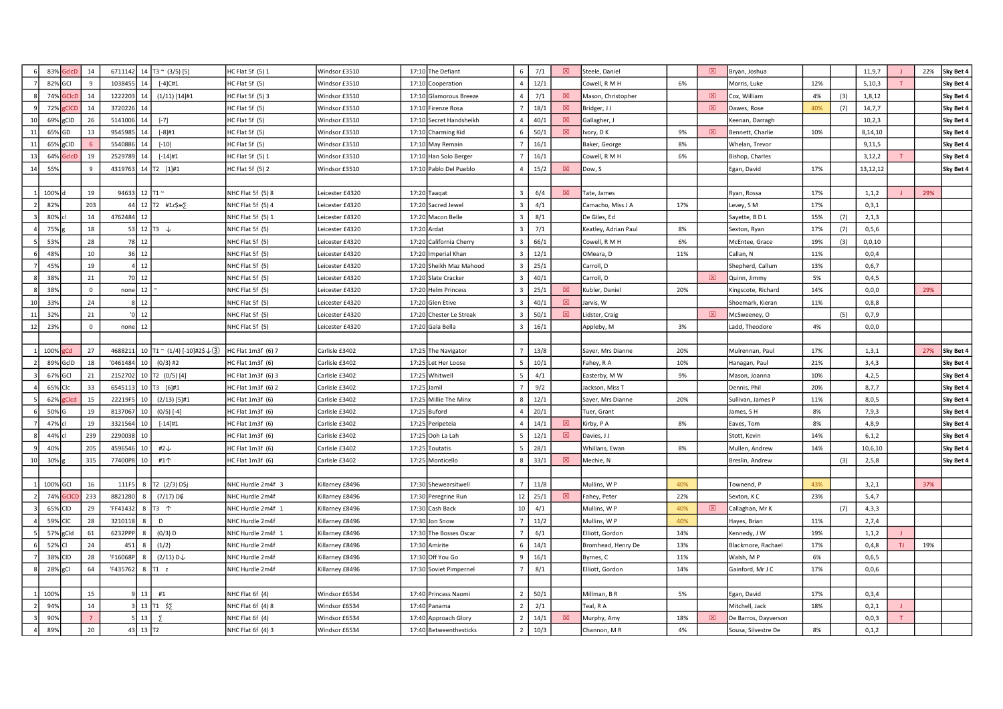|    |          | 83% GclcD    | 14                  |                            | 6711142 14 $T3 \sim (3/5)$ [5]               | HC Flat 5f (5) 1   | Windsor £3510   | 17:10 The Defiant       | 6              | 7/1  | 図           | Steele, Daniel       |     | 図 | Bryan, Joshua        |     |     | 11,9,7   |    | 22% | Sky Bet 4 |
|----|----------|--------------|---------------------|----------------------------|----------------------------------------------|--------------------|-----------------|-------------------------|----------------|------|-------------|----------------------|-----|---|----------------------|-----|-----|----------|----|-----|-----------|
|    | 82% GCI  |              | 9                   | 1038455<br>14              | $[-4]$ C#1                                   | HC Flat 5f (5)     | Windsor £3510   | 17:10 Cooperation       | $\overline{a}$ | 12/1 |             | Cowell, R M H        | 6%  |   | Morris, Luke         | 12% |     | 5,10,3   | T  |     | Sky Bet 4 |
|    |          | 74% GCIcD    | 14                  | 1222203<br>14              | $(1/11)$ [14]#1                              | HC Flat 5f (5) 3   | Windsor £3510   | 17:10 Glamorous Breeze  | $\overline{4}$ | 7/1  | 図           | Mason, Christopher   |     | 図 | Cox, William         | 4%  | (3) | 1,8,12   |    |     | Sky Bet 4 |
|    | 72%      | gCICD        | 14                  | 3720226                    |                                              | HC Flat 5f (5)     | Windsor £3510   | 17:10 Firenze Rosa      |                | 18/1 | $\boxtimes$ | Bridger, J J         |     | 図 | Dawes, Rose          | 40% | (7) | 14,7,7   |    |     | Sky Bet 4 |
|    |          | 69% gCID     | 26                  | 5141006<br>14              | $[-7]$                                       | HC Flat 5f (5)     | Windsor £3510   | 17:10 Secret Handsheikh |                | 40/1 | 図           | Gallagher, J         |     |   | Keenan, Darragh      |     |     | 10, 2, 3 |    |     | Sky Bet 4 |
| 11 | 65% GD   |              | 13                  | 9545985<br>14              | $[-8]$ #1                                    | HC Flat 5f (5)     | Windsor £3510   | 17:10 Charming Kid      |                | 50/1 | 図           | Ivory, D K           | 9%  | 冈 | Bennett, Charlie     | 10% |     | 8,14,10  |    |     | Sky Bet 4 |
| 11 |          | 65% gCID     | -6                  | 5540886<br>14              | $[-10]$                                      | HC Flat 5f (5)     | Windsor £3510   | 17:10 May Remain        |                | 16/1 |             | Baker, George        | 8%  |   | Whelan, Trevor       |     |     | 9,11,5   |    |     | Sky Bet 4 |
| 13 | 64%      | <b>GclcD</b> | 19                  | 2529789<br>14              | $[-14]$ #1                                   | HC Flat 5f (5) 1   | Windsor £3510   | 17:10 Han Solo Berger   |                | 16/1 |             | Cowell, R M H        | 6%  |   | Bishop, Charles      |     |     | 3,12,2   |    |     | Sky Bet 4 |
| 14 | 55%      |              | $\mathbf{q}$        | 4319763                    | 14 T2 [1]#1                                  | HC Flat 5f (5) 2   | Windsor £3510   | 17:10 Pablo Del Pueblo  |                | 15/2 | 図           | Dow, S               |     |   | Egan, David          | 17% |     | 13,12,12 |    |     | Sky Bet 4 |
|    |          |              |                     |                            |                                              |                    |                 |                         |                |      |             |                      |     |   |                      |     |     |          |    |     |           |
|    | 100%     |              | 19                  | 94633                      | $12$ T1 $\approx$                            | NHC Flat 5f (5) 8  | Leicester £4320 | 17:20 Taaqat            |                | 6/4  | ⊠           | Tate, James          |     |   | Ryan, Rossa          | 17% |     | 1, 1, 2  |    | 29% |           |
|    | 82%      |              | 203                 | -44                        | 12 T2 #1z\$xx>                               | NHC Flat 5f (5) 4  | Leicester £4320 | 17:20 Sacred Jewel      |                | 4/1  |             | Camacho, Miss J A    | 17% |   | Levey, S M           | 17% |     | 0, 3, 1  |    |     |           |
|    | 80% cl   |              | 14                  | 4762484 12                 |                                              | NHC Flat 5f (5) 1  | Leicester £4320 | 17:20 Macon Belle       |                | 8/1  |             | De Giles, Ed         |     |   | Sayette, BDL         | 15% | (7) | 2,1,3    |    |     |           |
|    | 75%      |              | 18                  |                            | 53 12 $T3 +$                                 | NHC Flat 5f (5)    | Leicester £4320 | 17:20 Ardat             |                | 7/1  |             | Keatley, Adrian Paul | 8%  |   | Sexton, Ryan         | 17% | (7) | 0, 5, 6  |    |     |           |
|    | 53%      |              | 28                  | 78 12                      |                                              | NHC Flat 5f (5)    | Leicester £4320 | 17:20 California Cherry |                | 66/1 |             | Cowell, R M H        | 6%  |   | McEntee, Grace       | 19% | (3) | 0,0,10   |    |     |           |
|    | 48%      |              | $10\,$              | 12<br>36                   |                                              | NHC Flat 5f (5)    | Leicester £4320 | 17:20 Imperial Khan     |                | 12/1 |             | OMeara, D            | 11% |   | Callan, N            | 11% |     | 0,0,4    |    |     |           |
|    | 45%      |              | 19                  | 12                         |                                              | NHC Flat 5f (5)    | Leicester £4320 | 17:20 Sheikh Maz Mahood |                | 25/1 |             | Carroll, D           |     |   | Shepherd, Callum     | 13% |     | 0,6,7    |    |     |           |
|    | 38%      |              | 21                  | 70 12                      |                                              | NHC Flat 5f (5)    | Leicester £4320 | 17:20 Slate Cracker     |                | 40/1 |             | Carroll. D           |     | 冈 | Quinn, Jimmy         | 5%  |     | 0,4,5    |    |     |           |
|    | 38%      |              | $^{\circ}$          | $none$ 12                  |                                              | NHC Flat 5f (5)    | Leicester £4320 | 17:20 Helm Princess     |                | 25/1 | ⊠           | Kubler, Daniel       | 20% |   | Kingscote, Richard   | 14% |     | 0, 0, 0  |    | 29% |           |
| 10 | 33%      |              | 24                  | 12                         |                                              | NHC Flat 5f (5)    | Leicester £4320 | 17:20 Glen Etive        |                | 40/1 | 図           | Jarvis, W            |     |   | Shoemark, Kieran     | 11% |     | 0, 8, 8  |    |     |           |
| 11 | 329      |              | 21                  | 12                         |                                              | NHC Flat 5f (5)    | Leicester £4320 | 17:20 Chester Le Streak |                | 50/1 | 図           | Lidster, Craig       |     | 図 | McSweeney, O         |     | (5) | 0,7,9    |    |     |           |
| 12 | 23%      |              | $\mathsf{O}\xspace$ | 12<br>none                 |                                              | NHC Flat 5f (5)    | Leicester £4320 | 17:20 Gala Bella        |                | 16/1 |             | Appleby, M           | 3%  |   | add, Theodore        | 4%  |     | 0,0,0    |    |     |           |
|    |          |              |                     |                            |                                              |                    |                 |                         |                |      |             |                      |     |   |                      |     |     |          |    |     |           |
|    | 100% gCd |              | 27                  | 4688211                    | 10 $\boxed{71}$ ~ (1/4) [-10]#2\$ $\sqrt{3}$ | HC Flat 1m3f (6) 7 | Carlisle £3402  | 17:25 The Navigator     |                | 13/8 |             | Sayer, Mrs Dianne    | 20% |   | Mulrennan, Paul      | 17% |     | 1, 3, 1  |    | 27% | Sky Bet 4 |
|    |          | 89% GcID     | 18                  | '0461484                   | 10   (0/3) #2                                | HC Flat 1m3f (6)   | Carlisle £3402  | 17:25 Let Her Loose     |                | 10/1 |             | Fahey, R A           | 10% |   | Hanagan, Paul        | 21% |     | 3,4,3    |    |     | Sky Bet 4 |
|    | 67% GCI  |              | 21                  | 2152702                    | 10 T2 (0/5) [4]                              | HC Flat 1m3f (6) 3 | Carlisle £3402  | 17:25 Whitwell          |                | 4/1  |             | Easterby, M W        | 9%  |   | Mason, Joanna        | 10% |     | 4,2,5    |    |     | Sky Bet 4 |
|    | 65% Clc  |              | 33                  | 6545113                    | 10 T3 [6]#1                                  | HC Flat 1m3f (6) 2 | Carlisle £3402  | 17:25 Jamil             |                | 9/2  |             | Jackson, Miss T      |     |   | Dennis, Phil         | 20% |     | 8,7,7    |    |     | Sky Bet 4 |
|    | 62%      | <b>Clcd</b>  | 15                  | 22219F5<br>10              | $(2/13)$ [5]#1                               | HC Flat 1m3f (6)   | Carlisle £3402  | 17:25 Millie The Minx   | 8              | 12/1 |             | Sayer, Mrs Dianne    | 20% |   | Sullivan, James P    | 11% |     | 8,0,5    |    |     | Sky Bet 4 |
|    | 50% G    |              | 19                  | 8137067<br>10              | $(0/5)$ [-4]                                 | HC Flat 1m3f (6)   | Carlisle £3402  | 17:25 Buford            |                | 20/1 |             | Tuer, Grant          |     |   | lames, SH            | 8%  |     | 7,9,3    |    |     | Sky Bet 4 |
|    | 47% cl   |              | 19                  | 3321564<br>10              | $[-14]$ #1                                   | HC Flat 1m3f (6)   | Carlisle £3402  | 17:25 Peripeteia        |                | 14/1 | 冈           | Kirby, P A           | 8%  |   | Eaves, Tom           | 8%  |     | 4,8,9    |    |     | Sky Bet 4 |
|    | 44% cl   |              | 239                 | 2290038<br>10              |                                              | HC Flat 1m3f (6)   | Carlisle £3402  | 17:25 Ooh La Lah        |                | 12/1 | 図           | Davies, J J          |     |   | Stott, Kevin         | 14% |     | 6, 1, 2  |    |     | Sky Bet 4 |
|    | 40%      |              | 205                 | 4596546<br>10 <sup>1</sup> | #2↓                                          | HC Flat 1m3f (6)   | Carlisle £3402  | 17:25 Toutatis          |                | 28/1 |             | Whillans, Ewan       | 8%  |   | Mullen, Andrew       | 14% |     | 10,6,10  |    |     | Sky Bet 4 |
| 10 | 30%      |              | 315                 | 77400P8<br>10              | #1个                                          | HC Flat 1m3f (6)   | Carlisle £3402  | 17:25 Monticello        |                | 33/1 | 図           | Mechie, N            |     |   | Breslin, Andrew      |     | (3) | 2,5,8    |    |     | Sky Bet 4 |
|    |          |              |                     |                            |                                              |                    |                 |                         |                |      |             |                      |     |   |                      |     |     |          |    |     |           |
|    | 100% GCI |              | 16                  | 111F5                      | 8 T2 (2/3) D\$j                              | NHC Hurdle 2m4f 3  | Killarney £8496 | 17:30 Shewearsitwell    |                | 11/8 |             | Mullins, W P         | 40% |   | Fownend, P           | 43% |     | 3,2,1    |    | 37% |           |
|    |          | 74% GCICL    | 233                 | 8821280<br>8               | (7/17) D¢                                    | NHC Hurdle 2m4f    | Killarney £8496 | 17:30 Peregrine Run     | 12             | 25/1 | 図           | Fahey, Peter         | 22% |   | Sexton, K C          | 23% |     | 5,4,7    |    |     |           |
|    | 65% CID  |              | 29                  | 'FF41432                   | 8 T3 $\uparrow$                              | NHC Hurdle 2m4f 1  | Killarney £8496 | 17:30 Cash Back         | 10             | 4/1  |             | Mullins, W P         | 40% | ⊠ | Callaghan, Mr K      |     | (7) | 4,3,3    |    |     |           |
|    | 59% CIC  |              | 28                  | 3210118                    | D                                            | NHC Hurdle 2m4f    | Killarney £8496 | 17:30 Jon Snow          |                | 11/2 |             | Mullins, W P         | 40% |   | Hayes, Brian         | 11% |     | 2,7,4    |    |     |           |
|    |          | 57% gCld     | 61                  | 6232PPF                    | $(0/3)$ D                                    | NHC Hurdle 2m4f 1  | Killarney £8496 | 17:30 The Bosses Oscar  |                | 6/1  |             | Elliott, Gordon      | 14% |   | Kennedy, J W         | 19% |     | 1, 1, 2  |    |     |           |
|    | 52% CI   |              | 24                  | 451                        | (1/2)                                        | NHC Hurdle 2m4f    | Killarney £8496 | 17:30 Amirite           |                | 14/1 |             | Bromhead, Henry De   | 13% |   | Blackmore, Rachael   | 17% |     | 0,4,8    | TJ | 19% |           |
|    | 38% CID  |              | 28                  | 'F16068F<br>8              | $(2/11) D \downarrow$                        | NHC Hurdle 2m4f    | Killarney £8496 | 17:30 Off You Go        |                | 16/1 |             | Byrnes, C            | 11% |   | Walsh, MP            | 6%  |     | 0,6,5    |    |     |           |
|    | 28% gCl  |              | 64                  | 'F435762                   | $8$ T1 z                                     | NHC Hurdle 2m4f    | Killarney £8496 | 17:30 Soviet Pimpernel  |                | 8/1  |             | Elliott, Gordon      | 14% |   | Gainford, Mr J C     | 17% |     | 0,0,6    |    |     |           |
|    |          |              |                     |                            |                                              |                    |                 |                         |                |      |             |                      |     |   |                      |     |     |          |    |     |           |
|    | 100%     |              | 15                  |                            | 13 #1                                        | NHC Flat 6f (4)    | Windsor £6534   | 17:40 Princess Naomi    |                | 50/1 |             | Millman, B R         | 5%  |   | Egan, David          | 17% |     | 0,3,4    |    |     |           |
|    | 94%      |              | 14                  |                            | 13 T1 $$5$                                   | NHC Flat 6f (4) 8  | Windsor £6534   | 17:40 Panama            |                | 2/1  |             | Teal, R A            |     |   | Mitchell, Jack       | 18% |     | 0,2,1    |    |     |           |
|    | 90%      |              |                     | 13                         | $\overline{2}$                               | NHC Flat 6f (4)    | Windsor £6534   | 17:40 Approach Glory    |                | 14/1 | 図           | Murphy, Amy          | 18% | 図 | De Barros, Dayverson |     |     | 0, 0, 3  |    |     |           |
|    | 89%      |              | 20                  | 43 13 T <sub>2</sub>       |                                              | NHC Flat 6f (4) 3  | Windsor £6534   | 17:40 Betweenthesticks  | 2              | 10/3 |             | Channon, MR          | 4%  |   | Sousa, Silvestre De  | 8%  |     | 0,1,2    |    |     |           |
|    |          |              |                     |                            |                                              |                    |                 |                         |                |      |             |                      |     |   |                      |     |     |          |    |     |           |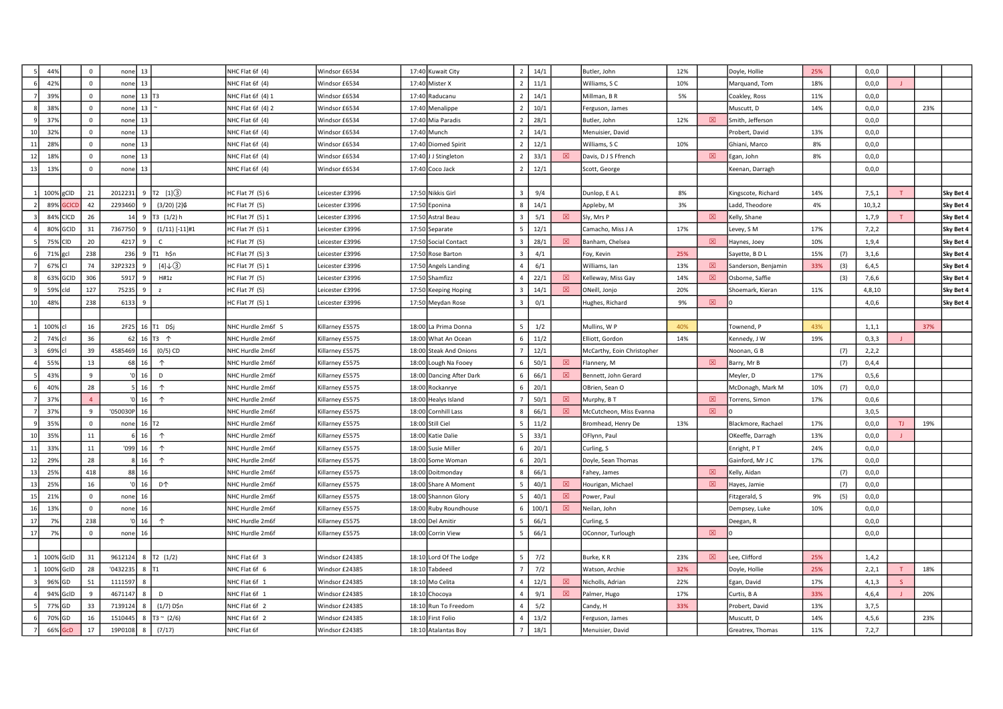|    | 44%                 | $\mathsf 0$    | $none$ 13                |                     | NHC Flat 6f (4)   | Windsor £6534   | 17:40 Kuwait City        | $\overline{2}$          | 14/1  |   | Butler, John               | 12% |             | Doyle, Hollie             | 25% |     | 0,0,0    |     |     |           |
|----|---------------------|----------------|--------------------------|---------------------|-------------------|-----------------|--------------------------|-------------------------|-------|---|----------------------------|-----|-------------|---------------------------|-----|-----|----------|-----|-----|-----------|
|    | 42%                 | $\mathsf 0$    | $none$ 13                |                     | NHC Flat 6f (4)   | Windsor £6534   | 17:40 Mister X           | $\overline{2}$          | 11/1  |   | Williams, SC               | 10% |             | Marquand, Tom             | 18% |     | 0,0,0    |     |     |           |
|    | 39%                 | $\mathsf 0$    | $none$ 13 $T3$           |                     | NHC Flat 6f (4) 1 | Windsor £6534   | 17:40 Raducanu           | $\overline{2}$          | 14/1  |   | Millman, B R               | 5%  |             | Coakley, Ross             | 11% |     | 0,0,0    |     |     |           |
|    | 38%                 | $\mathsf 0$    | 13<br>none               |                     | NHC Flat 6f (4) 2 | Windsor £6534   | 17:40 Menalippe          | 2                       | 10/1  |   | Ferguson, James            |     |             | Muscutt, D                | 14% |     | 0,0,0    |     | 23% |           |
|    | 379                 | $\mathsf 0$    | 13<br>none               |                     | NHC Flat 6f (4)   | Windsor £6534   | 17:40 Mia Paradis        | $\overline{2}$          | 28/1  |   | Butler, John               | 12% | $\boxtimes$ | Smith, Jefferson          |     |     | 0,0,0    |     |     |           |
| 10 | 329                 | $\mathsf 0$    | 13<br>none               |                     | NHC Flat 6f (4)   | Windsor £6534   | 17:40 Munch              |                         | 14/1  |   | Menuisier, David           |     |             | Probert, David            | 13% |     | 0,0,0    |     |     |           |
| 11 | 28%                 | $\mathbf 0$    | 13<br>none               |                     | NHC Flat 6f (4)   | Windsor £6534   | 17:40 Diomed Spirit      | $\mathcal{L}$           | 12/1  |   | Williams, SC               | 10% |             | Ghiani, Marco             | 8%  |     | 0,0,0    |     |     |           |
| 12 | 18%                 | $\mathbf{0}$   | $none$ 13                |                     | NHC Flat 6f (4)   | Windsor £6534   | 17:40 J J Stingleton     | $\overline{2}$          | 33/1  | 冈 | Davis, D J S Ffrench       |     | 図           | Egan, John                | 8%  |     | 0,0,0    |     |     |           |
| 13 | 13%                 | $\mathsf 0$    | 13<br>none               |                     | NHC Flat 6f (4)   | Windsor £6534   | 17:40 Coco Jack          | $\overline{2}$          | 12/1  |   | Scott, George              |     |             | Keenan, Darragh           |     |     | 0, 0, 0  |     |     |           |
|    |                     |                |                          |                     |                   |                 |                          |                         |       |   |                            |     |             |                           |     |     |          |     |     |           |
|    | 100% gCID           | 21             | 2012231                  | 9 T2 [1] (3)        | HC Flat 7f (5) 6  | eicester £3996  | 17:50 Nikkis Girl        | $\overline{3}$          | 9/4   |   | Dunlop, E A L              | 8%  |             | <b>Kingscote, Richard</b> | 14% |     | 7, 5, 1  |     |     | Sky Bet 4 |
|    | 89%<br><b>GCICD</b> | 42             | 2293460                  | $(3/20)$ [2] $6$    | HC Flat 7f (5)    | eicester £3996  | 17:50 Eponina            |                         | 14/1  |   | Appleby, M                 | 3%  |             | add, Theodore             | 4%  |     | 10, 3, 2 |     |     | Sky Bet 4 |
|    | 84% CICD            | 26             | 14                       | 9 T3 (1/2) h        | HC Flat 7f (5) 1  | eicester £3996  | 17:50 Astral Beau        |                         | 5/1   | 冈 | Sly, Mrs P                 |     | 冈           | Kelly, Shane              |     |     | 1,7,9    |     |     | Sky Bet 4 |
|    | 80% GCID            | 31             | 7367750<br>9             | $(1/11)$ [-11]#1    | HC Flat 7f (5) 1  | eicester £3996  | 17:50 Separate           | 5                       | 12/1  |   | Camacho, Miss J A          | 17% |             | evey, S M.                | 17% |     | 7,2,2    |     |     | Sky Bet 4 |
|    | 75% CID             | 20             | 4217<br>9                | $\mathsf{C}$        | HC Flat 7f (5)    | eicester £3996  | 17:50 Social Contact     | $\mathbf{R}$            | 28/1  | 冈 | Banham, Chelsea            |     | 図           | Haynes, Joey              | 10% |     | 1,9,4    |     |     | Sky Bet 4 |
|    | 71% gcl             | 238            | 236<br>9                 | T1 h\$n             | HC Flat 7f (5) 3  | eicester £3996  | 17:50 Rose Barton        | $\mathbf{R}$            | 4/1   |   | Foy, Kevin                 | 25% |             | Sayette, BDL              | 15% | (7) | 3,1,6    |     |     | Sky Bet 4 |
|    | 67% CI              | 74             | 32P2323                  | $[4]\downarrow$ 3   | HC Flat 7f (5) 1  | eicester £3996  | 17:50 Angels Landing     | $\overline{4}$          | 6/1   |   | Williams, Ian              | 13% | 図           | Sanderson, Benjamin       | 33% | (3) | 6,4,5    |     |     | Sky Bet 4 |
|    | 63% GCID            | 306            | 5917                     | H#1z                | HC Flat 7f (5)    | eicester £3996  | 17:50 Shamfizz           | $\overline{a}$          | 22/1  | 図 | Kelleway, Miss Gay         | 14% | 図           | Osborne, Saffie           |     | (3) | 7,6,6    |     |     | Sky Bet 4 |
|    | 59% cld             | 127            | 75235<br>9               | $\mathbf{z}$        | HC Flat 7f (5)    | eicester £3996  | 17:50 Keeping Hoping     |                         | 14/1  | 図 | ONeill, Jonjo              | 20% |             | Shoemark, Kieran          | 11% |     | 4,8,10   |     |     | Sky Bet 4 |
|    | 48%                 | 238            | 6133<br>9                |                     | HC Flat 7f (5) 1  | eicester £3996  | 17:50 Meydan Rose        | $\overline{\mathbf{3}}$ | 0/1   |   | Hughes, Richard            | 9%  | $\boxtimes$ |                           |     |     | 4,0,6    |     |     | Sky Bet 4 |
|    |                     |                |                          |                     |                   |                 |                          |                         |       |   |                            |     |             |                           |     |     |          |     |     |           |
|    | 100% cl             | 16             | 2F25 16 T1 D\$j          |                     | NHC Hurdle 2m6f 5 | Killarney £5575 | 18:00 La Prima Donna     | 5 <sup>5</sup>          | 1/2   |   | Mullins, W P               | 40% |             | Townend, P                | 43% |     | 1, 1, 1  |     | 37% |           |
|    | 74% cl              | 36             |                          | 62 16 T3 $\uparrow$ | NHC Hurdle 2m6f   | Killarney £5575 | 18:00 What An Ocean      | 6                       | 11/2  |   | Elliott, Gordon            | 14% |             | Kennedy, J W              | 19% |     | 0,3,3    |     |     |           |
|    | 69% cl              | 39             | 4585469<br>16            | $(0/5)$ CD          | NHC Hurdle 2m6f   | Killarney £5575 | 18:00 Steak And Onions   |                         | 12/1  |   | McCarthy, Eoin Christopher |     |             | Noonan, G B               |     | (7) | 2,2,2    |     |     |           |
|    | 55%                 | 13             | 68 16                    | $\uparrow$          | NHC Hurdle 2m6f   | Killarney £5575 | 18:00 Lough Na Fooey     | 6                       | 50/1  | 冈 | Flannery, M                |     | $\boxtimes$ | Barry, Mr B               |     | (7) | 0,4,4    |     |     |           |
|    | 43%                 | 9              | $'0$ 16                  | D                   | NHC Hurdle 2m6f   | Killarney £5575 | 18:00 Dancing After Dark | 6                       | 66/1  | 図 | Bennett, John Gerard       |     |             | Meyler, D                 | 17% |     | 0, 5, 6  |     |     |           |
|    | 40%                 | 28             | $5 \mid 16 \mid$         | $\uparrow$          | NHC Hurdle 2m6f   | Killarney £5575 | 18:00 Rockanrye          | 6                       | 20/1  |   | OBrien, Sean O             |     |             | McDonagh, Mark M          | 10% | (7) | 0,0,0    |     |     |           |
|    | 37%                 | $\overline{4}$ | $ 0 $ 16                 | $\uparrow$          | NHC Hurdle 2m6f   | Killarney £5575 | 18:00 Healys Island      |                         | 50/1  | 冈 | Murphy, B T                |     | 図           | Torrens, Simon            | 17% |     | 0,0,6    |     |     |           |
|    | 379                 | $\overline{9}$ | $'050030P$ 16            |                     | NHC Hurdle 2m6f   | Killarney £5575 | 18:00 Cornhill Lass      |                         | 66/1  | 図 | McCutcheon, Miss Evanna    |     | $\boxtimes$ |                           |     |     | 3,0,5    |     |     |           |
|    | 35%                 | $\mathbf 0$    | none $16$ T <sub>2</sub> |                     | NHC Hurdle 2m6f   | Killarney £5575 | 18:00 Still Ciel         |                         | 11/2  |   | Bromhead, Henry De         | 13% |             | Blackmore, Rachael        | 17% |     | 0, 0, 0  | TJ. | 19% |           |
| 10 | 35%                 | $11\,$         | 16                       | $\uparrow$          | NHC Hurdle 2m6f   | Killarney £5575 | 18:00 Katie Dalie        |                         | 33/1  |   | OFlynn, Paul               |     |             | OKeeffe, Darragh          | 13% |     | 0,0,0    |     |     |           |
| 11 | 33%                 | 11             | $'099$ 16                | $\uparrow$          | NHC Hurdle 2m6f   | Killarney £5575 | 18:00 Susie Miller       | 6                       | 20/1  |   | Curling, S                 |     |             | Enright, PT               | 24% |     | 0,0,0    |     |     |           |
| 12 | 299                 | 28             | $8 \mid 16 \mid$         | $\uparrow$          | NHC Hurdle 2m6f   | Killarney £5575 | 18:00 Some Woman         | 6                       | 20/1  |   | Doyle, Sean Thomas         |     |             | Gainford, Mr J C          | 17% |     | 0,0,0    |     |     |           |
| 13 | 259                 | 418            | 88 16                    |                     | NHC Hurdle 2m6f   | Killarney £5575 | 18:00 Doitmonday         | $\mathbf{R}$            | 66/1  |   | Fahey, James               |     | 図           | Kelly, Aidan              |     | (7) | 0,0,0    |     |     |           |
| 13 | 25 <sup>o</sup>     | 16             | '0 $16$                  | <b>D个</b>           | NHC Hurdle 2m6f   | Killarney £5575 | 18:00 Share A Moment     |                         | 40/1  | 図 | Hourigan, Michael          |     | 図           | layes, Jamie              |     | (7) | 0, 0, 0  |     |     |           |
| 15 | 219                 | $\mathbf 0$    | 16<br>none               |                     | NHC Hurdle 2m6f   | Killarney £5575 | 18:00 Shannon Glory      |                         | 40/1  | 図 | Power, Paul                |     |             | itzgerald, S              | 9%  | (5) | 0, 0, 0  |     |     |           |
| 16 | 13%                 | $\mathbf{0}$   | $none$ 16                |                     | NHC Hurdle 2m6f   | Killarney £5575 | 18:00 Ruby Roundhouse    | 6                       | 100/1 | 図 | Neilan, John               |     |             | Dempsey, Luke             | 10% |     | 0,0,0    |     |     |           |
| 17 | 7%                  | 238            | $ 0 $ 16                 | $\uparrow$          | NHC Hurdle 2m6f   | Killarney £5575 | 18:00 Del Amitir         |                         | 66/1  |   | Curling, S                 |     |             | Deegan, R                 |     |     | 0, 0, 0  |     |     |           |
| 17 | 7%                  | $\mathsf 0$    | $none$ 16                |                     | NHC Hurdle 2m6f   | Killarney £5575 | 18:00 Corrin View        | 5                       | 66/1  |   | OConnor, Turlough          |     | $\boxtimes$ |                           |     |     | 0,0,0    |     |     |           |
|    |                     |                |                          |                     |                   |                 |                          |                         |       |   |                            |     |             |                           |     |     |          |     |     |           |
|    | 100% GcID           | 31             | 9612124                  | 8   T2 $(1/2)$      | NHC Flat 6f 3     | Windsor £24385  | 18:10 Lord Of The Lodge  | 5                       | 7/2   |   | Burke, KR                  | 23% | $\boxtimes$ | ee, Clifford              | 25% |     | 1,4,2    |     |     |           |
|    | 100% GcID           | 28             | '0432235                 | 8 IT1               | NHC Flat 6f 6     | Windsor £24385  | 18:10 Tabdeed            |                         | 7/2   |   | Watson, Archie             | 32% |             | Doyle, Hollie             | 25% |     | 2,2,1    |     | 18% |           |
|    | 96% GD              | 51             | 1111597                  |                     | NHC Flat 6f 1     | Windsor £24385  | 18:10 Mo Celita          | $\Delta$                | 12/1  | 冈 | Nicholls, Adrian           | 22% |             | Egan, David               | 17% |     | 4, 1, 3  |     |     |           |
|    | 94% GcID            | 9              | 4671147<br>8             | D                   | NHC Flat 6f 1     | Windsor £24385  | 18:10 Chocoya            | $\overline{a}$          | 9/1   | 図 | Palmer, Hugo               | 17% |             | Curtis, B A               | 33% |     | 4,6,4    |     | 20% |           |
|    | 77% GD              | 33             | 7139124                  | (1/7) D\$n          | NHC Flat 6f 2     | Windsor £24385  | 18:10 Run To Freedom     | $\Delta$                | 5/2   |   | Candy, H                   | 33% |             | Probert, David            | 13% |     | 3,7,5    |     |     |           |
|    | 70% GD              | 16             | 1510445                  | $T3 \sim (2/6)$     | NHC Flat 6f 2     | Windsor £24385  | 18:10 First Folio        |                         | 13/2  |   | Ferguson, James            |     |             | Muscutt, D                | 14% |     | 4, 5, 6  |     | 23% |           |
|    | 66%<br><b>GcD</b>   | 17             | 19P0108                  | (7/17)              | NHC Flat 6f       | Windsor £24385  | 18:10 Atalantas Boy      |                         | 18/1  |   | Menuisier, David           |     |             | Greatrex, Thomas          | 11% |     | 7,2,7    |     |     |           |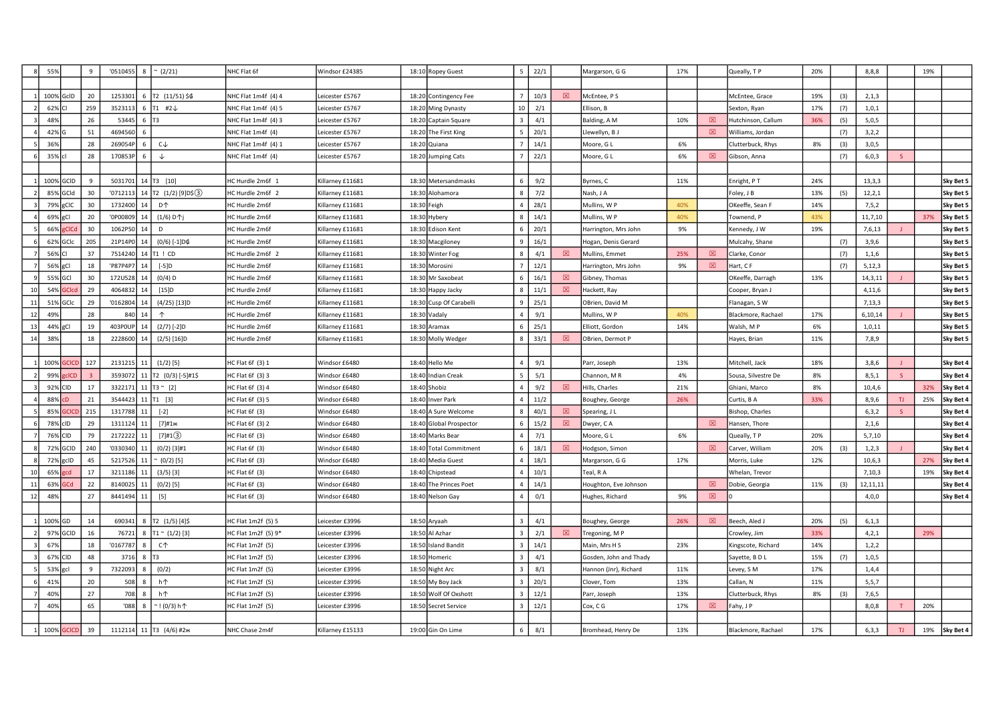|    | 55%       |                | $\mathbf{q}$ | '0510455 | 8                  | $~^{\sim}$ (2/21)                 | NHC Flat 6f           | Windsor £24385   | 18:10 Ropey Guest       | -5             | 22/1 |             | Margarson, G G         | 17% |             | Queally, TP         | 20% |     | 8,8,8    |     | 19% |           |
|----|-----------|----------------|--------------|----------|--------------------|-----------------------------------|-----------------------|------------------|-------------------------|----------------|------|-------------|------------------------|-----|-------------|---------------------|-----|-----|----------|-----|-----|-----------|
|    |           |                |              |          |                    |                                   |                       |                  |                         |                |      |             |                        |     |             |                     |     |     |          |     |     |           |
|    | 100% GcID |                | 20           | 1253301  |                    | 6 $\boxed{72}$ (11/51) \$6        | NHC Flat 1m4f (4) 4   | Leicester £5767  | 18:20 Contingency Fee   |                | 10/3 | 図           | McEntee, PS            |     |             | McEntee, Grace      | 19% | (3) | 2,1,3    |     |     |           |
|    | 62% CI    |                | 259          | 352311   |                    | 6 $\overline{11}$ #2 $\downarrow$ | NHC Flat 1m4f (4) 5   | Leicester £5767  | 18:20 Ming Dynasty      | 10             | 2/1  |             | Ellison, B             |     |             | Sexton, Ryan        | 17% | (7) | 1,0,1    |     |     |           |
|    | 48%       |                | 26           | 53445    | $6$ T <sub>3</sub> |                                   | NHC Flat 1m4f (4) 3   | Leicester £5767  | 18:20 Captain Square    |                | 4/1  |             | Balding, A M           | 10% | 図           | Hutchinson, Callum  | 36% | (5) | 5,0,5    |     |     |           |
|    | 42% G     |                | 51           | 4694560  | -6                 |                                   | NHC Flat 1m4f (4)     | Leicester £5767  | 18:20 The First King    |                | 20/1 |             | Llewellyn, B J         |     | 冈           | Williams, Jordan    |     | (7) | 3,2,2    |     |     |           |
|    | 36%       |                | 28           | 269054F  | 6 <sup>1</sup>     | $C \downarrow$                    | NHC Flat 1m4f (4) 1   | Leicester £5767  | 18:20 Quiana            |                | 14/1 |             | Moore, G L             | 6%  |             | Clutterbuck, Rhys   | 8%  | (3) | 3,0,5    |     |     |           |
|    | 35% cl    |                | 28           | 170853F  | 6                  | $\downarrow$                      | NHC Flat 1m4f (4)     | Leicester £5767  | 18:20 Jumping Cats      |                | 22/1 |             | Moore, G L             | 6%  | $\boxtimes$ | Gibson, Anna        |     | (7) | 6,0,3    |     |     |           |
|    |           |                |              |          |                    |                                   |                       |                  |                         |                |      |             |                        |     |             |                     |     |     |          |     |     |           |
|    | 100% GCID |                | 9            | 5031701  |                    | 14 T3 [10]                        | HC Hurdle 2m6f 1      | Killarney £11681 | 18:30 Metersandmasks    | 6              | 9/2  |             | Byrnes, C              | 11% |             | Enright, PT         | 24% |     | 13,3,3   |     |     | Sky Bet 5 |
|    | 85% GCId  |                | 30           | '0712113 |                    | 14 $ T2 (1/2) [9] D5(3)$          | HC Hurdle 2m6f 2      | Killarney £11681 | 18:30 Alohamora         |                | 7/2  |             | Nash, J A              |     |             | Foley, J B          | 13% | (5) | 12, 2, 1 |     |     | Sky Bet 5 |
|    | 79% gCIC  |                | 30           | 1732400  | 14                 | <b>D个</b>                         | HC Hurdle 2m6f        | Killarney £11681 | 18:30 Feigh             |                | 28/1 |             | Mullins, W P           | 40% |             | OKeeffe, Sean F     | 14% |     | 7, 5, 2  |     |     | Sky Bet 5 |
|    | 69% gCl   |                | 20           | '0P00809 | 14                 | (1/6) D个j                         | <b>HC Hurdle 2m6f</b> | Killarney £11681 | 18:30 Hybery            | 8              | 14/1 |             | Mullins, W P           | 40% |             | Townend, P          | 43% |     | 11,7,10  |     | 37% | Sky Bet 5 |
|    | 66%       | <b>CICo</b>    | 30           | 1062P50  | 14                 | D                                 | HC Hurdle 2m6f        | Killarney £11681 | 18:30 Edison Kent       | -6             | 20/1 |             | Harrington, Mrs John   | 9%  |             | Kennedy, J W        | 19% |     | 7,6,13   |     |     | Sky Bet 5 |
|    | 62% GCIc  |                | 205          | 21P14P0  |                    | (0/6) [-1]D¢                      | HC Hurdle 2m6f        | Killarney £11681 | 18:30 Macgiloney        |                | 16/1 |             | Hogan, Denis Gerard    |     |             | Mulcahy, Shane      |     | (7) | 3,9,6    |     |     | Sky Bet 5 |
|    | 56% CI    |                | 37           | 7514240  |                    | 14 T1 ! CD                        | IC Hurdle 2m6f 2      | Killarney £11681 | 18:30 Winter Fog        |                | 4/1  | $\boxtimes$ | Mullins, Emmet         | 25% | $\boxtimes$ | Clarke, Conor       |     | (7) | 1,1,6    |     |     | Sky Bet 5 |
|    | 56% gCl   |                | 18           | 'P87P4P7 |                    | $[-5]D$                           | <b>HC Hurdle 2m6f</b> | Killarney £11681 | 18:30 Morosini          |                | 12/1 |             | Harrington, Mrs John   | 9%  | $\boxtimes$ | Hart, C F           |     | (7) | 5,12,3   |     |     | Sky Bet 5 |
|    | 55% GCI   |                | 30           | 172U528  | 14                 | $(0/4)$ D                         | <b>HC Hurdle 2m6f</b> | Killarney £11681 | 18:30 Mr Saxobeat       |                | 16/1 | 図           | Gibney, Thomas         |     |             | OKeeffe, Darragh    | 13% |     | 14,3,11  |     |     | Sky Bet 5 |
| 10 | 54%       |                | 29           | 4064832  | 14                 | [15]D                             | HC Hurdle 2m6f        | Killarney £11681 | 18:30 Happy Jacky       |                | 11/1 | 図           | Hackett, Ray           |     |             | Cooper, Bryan J     |     |     | 4,11,6   |     |     | Sky Bet 5 |
| 11 | 51%       | GCIc           | 29           | '0162804 | 14                 | $(4/25)$ [13]D                    | HC Hurdle 2m6f        | Killarney £11681 | 18:30 Cusp Of Carabelli | 9              | 25/1 |             | OBrien, David M        |     |             | Flanagan, SW        |     |     | 7,13,3   |     |     | Sky Bet 5 |
| 12 | 499       |                | 28           | 840      | 14                 | $\uparrow$                        | HC Hurdle 2m6f        | Killarney £11681 | 18:30 Vadaly            |                | 9/1  |             | Mullins, W P           | 40% |             | Blackmore, Rachael  | 17% |     | 6,10,14  |     |     | Sky Bet 5 |
| 13 | 44%       | gCl            | 19           | 403P0UI  |                    | $(2/7)$ [-2]D                     | HC Hurdle 2m6f        | Killarney £11681 | 18:30 Aramax            |                | 25/1 |             | Elliott, Gordon        | 14% |             | Walsh, MP           | 6%  |     | 1,0,11   |     |     | Sky Bet 5 |
| 14 | 38%       |                | 18           | 2228600  | 14                 | $(2/5)$ [16]D                     | <b>IC Hurdle 2m6f</b> | Killarney £11681 | 18:30 Molly Wedger      | 8              | 33/1 | 図           | OBrien, Dermot P       |     |             | Hayes, Brian        | 11% |     | 7,8,9    |     |     | Sky Bet 5 |
|    |           |                |              |          |                    |                                   |                       |                  |                         |                |      |             |                        |     |             |                     |     |     |          |     |     |           |
|    |           | 100% GCICD 127 |              | 2131215  | 11                 | $(1/2)$ [5]                       | HC Flat 6f (3) 1      | Windsor £6480    | 18:40 Hello Me          | $\overline{4}$ | 9/1  |             | Parr, Joseph           | 13% |             | Mitchell, Jack      | 18% |     | 3,8,6    |     |     | Sky Bet 4 |
|    | 99%       | clCD           |              | 3593072  |                    | 11   T2 $(0/3)$ [-5]#1\$          | HC Flat 6f (3) 3      | Windsor £6480    | 18:40 Indian Creak      |                | 5/1  |             | Channon, MR            | 4%  |             | Sousa, Silvestre De | 8%  |     | 8, 5, 1  | S   |     | Sky Bet 4 |
|    | 92% CID   |                | 17           | 332217   |                    | 11   T3 ~ [2]                     | HC Flat 6f (3) 4      | Windsor £6480    | 18:40 Shobiz            |                | 9/2  | 図           | Hills, Charles         | 21% |             | Ghiani, Marco       | 8%  |     | 10,4,6   |     | 32% | Sky Bet 4 |
|    | 88%       | :D             | 21           | 3544423  |                    | $11$ $ T1$ [3]                    | HC Flat 6f (3) 5      | Windsor £6480    | 18:40 Inver Park        |                | 11/2 |             | Boughey, George        | 26% |             | Curtis, B A         | 33% |     | 8,9,6    | TJ  | 25% | Sky Bet 4 |
|    | 85%       |                | 215          | 1317788  | 11                 | $[-2]$                            | HC Flat 6f (3)        | Windsor £6480    | 18:40 A Sure Welcome    |                | 40/1 | 図           | Spearing, JL           |     |             | Bishop, Charles     |     |     | 6, 3, 2  | S   |     | Sky Bet 4 |
|    | 78% clD   |                | 29           | 1311124  | 11                 | $[7]$ #1ж                         | HC Flat 6f (3) 2      | Windsor £6480    | 18:40 Global Prospector | 6              | 15/2 | 図           | Dwyer, CA              |     | $\boxtimes$ | Hansen, Thore       |     |     | 2,1,6    |     |     | Sky Bet 4 |
|    | 76% CID   |                | 79           | 2172222  | 11                 | $[7]$ #1 $(3)$                    | HC Flat 6f (3)        | Windsor £6480    | 18:40 Marks Bear        |                | 7/1  |             | Moore, G L             | 6%  |             | Queally, TP         | 20% |     | 5,7,10   |     |     | Sky Bet 4 |
|    | 72% GCID  |                | 240          | '0330340 | 11                 | $(0/2)$ [3]#1                     | HC Flat 6f (3)        | Windsor £6480    | 18:40 Total Commitment  |                | 18/1 | 図           | Hodgson, Simon         |     | 図           | Carver, William     | 20% | (3) | 1, 2, 3  |     |     | Sky Bet 4 |
|    | 72% gcID  |                | 45           | 5217526  |                    | (0/2)[5]                          | HC Flat 6f (3)        | Windsor £6480    | 18:40 Media Guest       |                | 18/1 |             | Margarson, G G         | 17% |             | Morris, Luke        | 12% |     | 10,6,3   |     | 27% | Sky Bet 4 |
|    | 65%       |                | 17           | 3211186  |                    | $(3/5)$ [3]                       | HC Flat 6f (3)        | Windsor £6480    | 18:40 Chipstead         |                | 10/1 |             | Teal, R A              |     |             | Whelan, Trevor      |     |     | 7,10,3   |     | 19% | Sky Bet 4 |
| 11 | 63%       | iCd            | 22           | 8140025  | 11                 | $(0/2)$ [5]                       | HC Flat 6f (3)        | Windsor £6480    | 18:40 The Princes Poet  |                | 14/1 |             | Houghton, Eve Johnson  |     | $\boxtimes$ | Dobie, Georgia      | 11% | (3) | 12,11,11 |     |     | Sky Bet 4 |
| 12 | 48%       |                | 27           | 8441494  | 11                 | $[5]$                             | HC Flat 6f (3)        | Windsor £6480    | 18:40 Nelson Gay        | $\overline{a}$ | 0/1  |             | Hughes, Richard        | 9%  | $\boxtimes$ |                     |     |     | 4,0,0    |     |     | Sky Bet 4 |
|    |           |                |              |          |                    |                                   |                       |                  |                         |                |      |             |                        |     |             |                     |     |     |          |     |     |           |
|    | 100% GD   |                | 14           | 690341   |                    | 8 T2 (1/5) [4]\$                  | HC Flat 1m2f (5) 5    | Leicester £3996  | 18:50 Aryaah            |                | 4/1  |             | Boughey, George        | 26% | $\boxtimes$ | Beech, Aled J       | 20% | (5) | 6, 1, 3  |     |     |           |
|    | 97%       | <b>IGCID</b>   | 16           | 7672     |                    | 8   T1 ~ $(1/2)$ [3]              | HC Flat 1m2f (5) 9*   | Leicester £3996  | 18:50 Al Azhar          |                | 2/1  | 図           | Tregoning, M P         |     |             | Crowley, Jim        | 33% |     | 4,2,1    |     | 29% |           |
|    | 67%       |                | 18           | '0167787 | 8                  | C <sup>1</sup>                    | HC Flat 1m2f (5)      | Leicester £3996  | 18:50 Island Bandit     |                | 14/1 |             | Main, Mrs H S          | 23% |             | Kingscote, Richard  | 14% |     | 1,2,2    |     |     |           |
|    | 67% CID   |                | 48           | 3716     | 8                  | I <sub>T3</sub>                   | HC Flat 1m2f (5)      | Leicester £3996  | 18:50 Homeric           |                | 4/1  |             | Gosden, John and Thady |     |             | Sayette, B D L      | 15% | (7) | 1,0,5    |     |     |           |
|    | 53% gcl   |                | 9            | 7322093  | 8                  | (0/2)                             | HC Flat 1m2f (5)      | Leicester £3996  | 18:50 Night Arc         |                | 8/1  |             | Hannon (Jnr), Richard  | 11% |             | Levey, S M          | 17% |     | 1,4,4    |     |     |           |
|    | 41%       |                | 20           | 508      | 8                  | h ↑                               | HC Flat 1m2f (5)      | Leicester £3996  | 18:50 My Boy Jack       |                | 20/1 |             | Clover, Tom            | 13% |             | Callan, N           | 11% |     | 5,5,7    |     |     |           |
|    | 40%       |                | 27           | 708      | 8                  | h个                                | HC Flat 1m2f (5)      | Leicester £3996  | 18:50 Wolf Of Oxshott   |                | 12/1 |             | Parr, Joseph           | 13% |             | Clutterbuck, Rhys   | 8%  | (3) | 7,6,5    |     |     |           |
|    | 40%       |                | 65           | '088     | $\mathbf{8}$       | 1 (0/3) h个                        | HC Flat 1m2f (5)      | Leicester £3996  | 18:50 Secret Service    |                | 12/1 |             | Cox, C G               | 17% | 図           | Fahy, J P           |     |     | 8,0,8    |     | 20% |           |
|    |           |                |              |          |                    |                                   |                       |                  |                         |                |      |             |                        |     |             |                     |     |     |          |     |     |           |
|    |           | 100% GCICD     | 39           |          |                    | 1112114 11   Т3 (4/6) #2ж         | NHC Chase 2m4f        | Killarney £15133 | 19:00 Gin On Lime       | 6              | 8/1  |             | Bromhead, Henry De     | 13% |             | Blackmore, Rachael  | 17% |     | 6, 3, 3  | TJ. | 19% | Sky Bet 4 |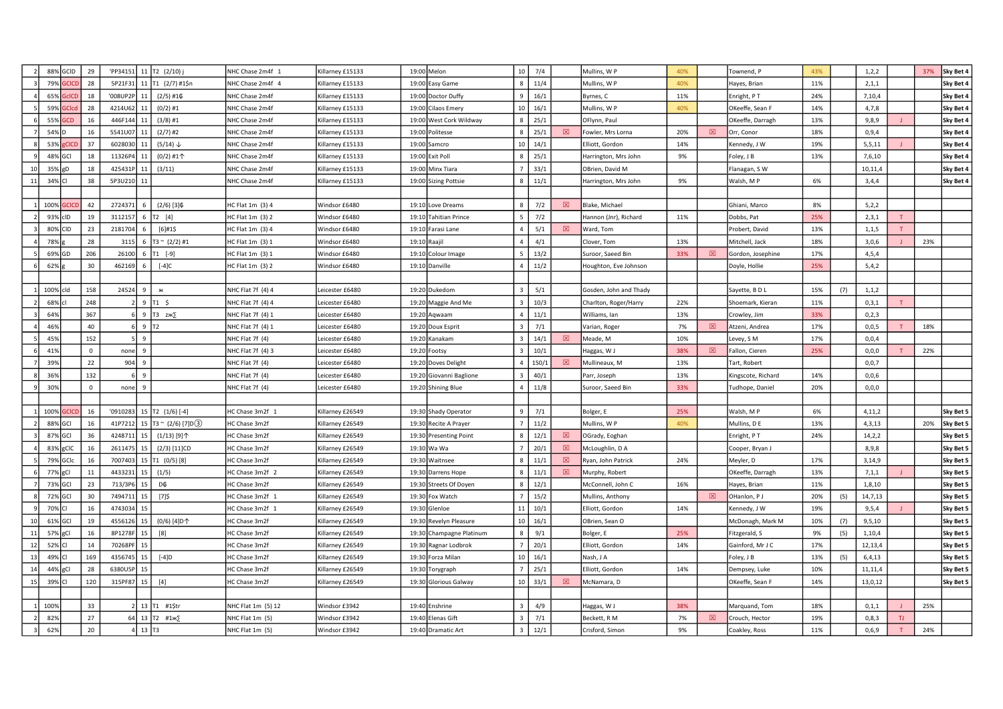|    |           | 88% GCID     | 29           | 'PP34151 11 T2 (2/10) j |                     |                               | NHC Chase 2m4f 1     | Killarney £15133 | 19:00 Melon              | 10 <sup>1</sup> | 7/4   |      | Mullins, W P           | 40% |             | Townend, P         | 43% |     | 1,2,2    |     | 37% | Sky Bet 4 |
|----|-----------|--------------|--------------|-------------------------|---------------------|-------------------------------|----------------------|------------------|--------------------------|-----------------|-------|------|------------------------|-----|-------------|--------------------|-----|-----|----------|-----|-----|-----------|
|    | 79%       | <b>GCICD</b> | 28           | 5P21F31                 |                     | 11   T1 $(2/7)$ #1\$n         | NHC Chase 2m4f 4     | Killarney £15133 | 19:00 Easy Game          |                 | 11/4  |      | Mullins, W P           | 40% |             | Hayes, Brian       | 11% |     | 2,1,1    |     |     | Sky Bet 4 |
|    | 65%       | GelCD        | 18           | '008UP2P                | 11                  | $(2/5)$ #1 $\&$               | NHC Chase 2m4f       | Killarney £15133 | 19:00 Doctor Duffy       | Q               | 16/1  |      | Byrnes, C              | 11% |             | Enright, PT        | 24% |     | 7,10,4   |     |     | Sky Bet 4 |
|    | 59%       |              | 28           | 4214U6                  |                     | $(0/2)$ #1                    | NHC Chase 2m4f       | Killarney £15133 | 19:00 Cilaos Emery       | 10 <sup>1</sup> | 16/1  |      | Mullins, W P           | 40% |             | OKeeffe, Sean F    | 14% |     | 4,7,8    |     |     | Sky Bet 4 |
|    | 55%       | <b>CD</b>    | 16           | 446F14                  |                     | $(3/8)$ #1                    | NHC Chase 2m4f       | Gillarney £15133 | 19:00 West Cork Wildway  |                 | 25/1  |      | OFlynn, Paul           |     |             | OKeeffe, Darragh   | 13% |     | 9,8,9    |     |     | Sky Bet 4 |
|    | 54% D     |              | 16           | 5541U07                 | 11                  | $(2/7)$ #2                    | NHC Chase 2m4f       | Killarney £15133 | 19:00 Politesse          |                 | 25/1  | श्चि | Fowler, Mrs Lorna      | 20% | 図           | Orr, Conor         | 18% |     | 0,9,4    |     |     | Sky Bet 4 |
|    | 53% gCICI |              | 37           | 6028030                 | 11                  | $(5/14)$ $\downarrow$         | NHC Chase 2m4f       | Killarney £15133 | 19:00 Samcro             | 10 <sup>1</sup> | 14/1  |      | Elliott, Gordon        | 14% |             | Kennedy, J W       | 19% |     | 5,5,11   |     |     | Sky Bet 4 |
|    | 48% GCI   |              | 18           | 11326P4                 | 11                  | (0/2) #1个                     | NHC Chase 2m4f       | Killarney £15133 | 19:00 Exit Poll          |                 | 25/1  |      | Harrington, Mrs John   | 9%  |             | Foley, J B         | 13% |     | 7,6,10   |     |     | Sky Bet 4 |
|    | 35% gD    |              | 18           | 425431F                 |                     | (3/11)                        | NHC Chase 2m4f       | Killarney £15133 | 19:00 Minx Tiara         |                 | 33/1  |      | OBrien, David M        |     |             | Flanagan, SW       |     |     | 10,11,4  |     |     | Sky Bet 4 |
| 11 | 34% CI    |              | 38           | 5P3U21                  |                     |                               | NHC Chase 2m4f       | Killarney £15133 | 19:00 Sizing Pottsie     |                 | 11/1  |      | Harrington, Mrs John   | 9%  |             | Walsh, MP          | 6%  |     | 3,4,4    |     |     | Sky Bet 4 |
|    |           |              |              |                         |                     |                               |                      |                  |                          |                 |       |      |                        |     |             |                    |     |     |          |     |     |           |
|    | 100%      |              | 42           | 272437                  | -6                  | $(2/6)$ [3] $$$               | IC Flat 1m (3) 4     | Windsor £6480    | 19:10 Love Dreams        |                 | 7/2   | 図    | Blake, Michael         |     |             | Ghiani, Marco      | 8%  |     | 5,2,2    |     |     |           |
|    | 93% clD   |              | 19           | 3112157                 |                     | 6 $[T2 [4]$                   | HC Flat 1m (3) 2     | Nindsor £6480    | 19:10 Tahitian Prince    | -5              | 7/2   |      | Hannon (Jnr), Richard  | 11% |             | Dobbs, Pat         | 25% |     | 2,3,1    |     |     |           |
|    | 80% CID   |              | 23           | 2181704                 |                     | $[6]$ #1\$                    | HC Flat 1m (3) 4     | Windsor £6480    | 19:10 Farasi Lane        | $\overline{4}$  | 5/1   | 図    | Ward, Tom              |     |             | Probert, David     | 13% |     | 1,1,5    | T   |     |           |
|    | 78%       |              | 28           | 3115                    |                     | 6   T3 ~ $(2/2)$ #1           | HC Flat 1m (3) 1     | Windsor £6480    | 19:10 Raajil             | $\Lambda$       | 4/1   |      | Clover, Tom            | 13% |             | Mitchell, Jack     | 18% |     | 3,0,6    |     | 23% |           |
|    | 69% GD    |              | 206          | 26100                   | -6                  | T1 [-9]                       | HC Flat 1m (3) 1     | Nindsor £6480    | 19:10 Colour Image       |                 | 13/2  |      | Suroor, Saeed Bin      | 33% | $\boxtimes$ | Gordon, Josephine  | 17% |     | 4, 5, 4  |     |     |           |
|    | 62%       |              | 30           | 46216                   |                     | $[-4]C$                       | IC Flat 1m (3) 2     | Nindsor £6480    | 19:10 Danville           |                 | 11/2  |      | Houghton, Eve Johnson  |     |             | Doyle, Hollie      | 25% |     | 5,4,2    |     |     |           |
|    |           |              |              |                         |                     |                               |                      |                  |                          |                 |       |      |                        |     |             |                    |     |     |          |     |     |           |
|    | 100% cld  |              | 158          | 24524                   | 9                   | Ж                             | NHC Flat 7f (4) 4    | eicester £6480   | 19:20 Dukedom            |                 | 5/1   |      | Gosden, John and Thady |     |             | Sayette, BDL       | 15% | (7) | 1, 1, 2  |     |     |           |
|    | 68% c     |              | 248          |                         |                     | $9$ T1 S                      | NHC Flat 7f (4) 4    | eicester £6480   | 19:20 Maggie And Me      | $\overline{3}$  | 10/3  |      | Charlton, Roger/Harry  | 22% |             | Shoemark, Kieran   | 11% |     | 0,3,1    |     |     |           |
|    | 64%       |              | 367          |                         |                     | 9 T3 $ZAK$                    | NHC Flat 7f (4) 1    | eicester £6480   | 19:20 Aqwaam             |                 | 11/1  |      | Williams, Ian          | 13% |             | Crowley, Jim       | 33% |     | 0, 2, 3  |     |     |           |
|    | 46%       |              | 40           |                         | $9$ T <sub>2</sub>  |                               | NHC Flat 7f (4) 1    | eicester £6480   | 19:20 Doux Esprit        |                 | 7/1   |      | Varian, Roger          | 7%  | 図           | Atzeni, Andrea     | 17% |     | 0,0,5    |     | 18% |           |
|    | 45%       |              | 152          |                         | 9                   |                               | NHC Flat 7f (4)      | eicester £6480   | 19:20 Kanakam            |                 | 14/1  | 図    | Meade, M               | 10% |             | evey, S M          | 17% |     | 0,0,4    |     |     |           |
|    | 41%       |              | $\mathbf 0$  | none                    | 9                   |                               | NHC Flat 7f (4) 3    | eicester £6480   | 19:20 Footsy             |                 | 10/1  |      | Haggas, WJ             | 38% | 図           | Fallon, Cieren     | 25% |     | 0,0,0    |     | 22% |           |
|    | 39%       |              | 22           | 904                     | 9                   |                               | NHC Flat 7f(4)       | eicester £6480   | 19:20 Doves Delight      |                 | 150/1 | ⊠    | Mullineaux, M          | 13% |             | Tart, Robert       |     |     | 0,0,7    |     |     |           |
|    | 36%       |              | 132          |                         | $\overline{9}$      |                               | NHC Flat 7f (4)      | eicester £6480   | 19:20 Giovanni Baglione  |                 | 40/1  |      | Parr, Joseph           | 13% |             | Kingscote, Richard | 14% |     | 0,0,6    |     |     |           |
|    | 30%       |              | $\mathbf{0}$ | none                    | $\overline{9}$      |                               | NHC Flat 7f (4)      | eicester £6480   | 19:20 Shining Blue       | $\Delta$        | 11/8  |      | Suroor, Saeed Bin      | 33% |             | Tudhope, Daniel    | 20% |     | 0,0,0    |     |     |           |
|    |           |              |              |                         |                     |                               |                      |                  |                          |                 |       |      |                        |     |             |                    |     |     |          |     |     |           |
|    | 100%      |              | 16           | '0910283                |                     | 15 T2 (1/6) [-4]              | IC Chase 3m2f 1      | Gillarney £26549 | 19:30 Shady Operator     |                 | 7/1   |      | Bolger, E              | 25% |             | Walsh, MP          | 6%  |     | 4,11,2   |     |     | Sky Bet 5 |
|    | 88% GCI   |              | 16           | 41P7212                 |                     | 15   T3 ~ $(2/6)$ [7] D $(3)$ | HC Chase 3m2f        | Gillarney £26549 | 19:30 Recite A Prayer    |                 | 11/2  |      | Mullins, W P           | 40% |             | Mullins, D E       | 13% |     | 4, 3, 13 |     | 20% | Sky Bet 5 |
|    | 87% GCI   |              | 36           | 424871                  | 15                  | $(1/13)$ [9] $\uparrow$       | HC Chase 3m2f        | Killarney £26549 | 19:30 Presenting Point   |                 | 12/1  | ⊠    | OGrady, Eoghan         |     |             | Enright, PT        | 24% |     | 14, 2, 2 |     |     | Sky Bet 5 |
|    | 83% gCIC  |              | 16           | 2611475                 | 15                  | $(2/3)$ [11]CD                | <b>IC Chase 3m2f</b> | Killarney £26549 | 19:30 Wa Wa              |                 | 20/1  | 図    | McLoughlin, D A        |     |             | Cooper, Bryan J    |     |     | 8,9,8    |     |     | Sky Bet 5 |
|    | 79% GCIc  |              | 16           | 7007403                 |                     | 15 T1 (0/5) [8]               | HC Chase 3m2f        | Killarney £26549 | 19:30 Waitnsee           | $\mathbf{R}$    | 11/1  | 図    | Ryan, John Patrick     | 24% |             | Meyler, D          | 17% |     | 3,14,9   |     |     | Sky Bet 5 |
|    | 77% gCl   |              | 11           | 443323                  |                     | (1/5)                         | HC Chase 3m2f 2      | Killarney £26549 | 19:30 Darrens Hope       |                 | 11/1  | 図    | Murphy, Robert         |     |             | OKeeffe, Darragh   | 13% |     | 7,1,1    |     |     | Sky Bet 5 |
|    | 73% GCI   |              | 23           | 713/3P6                 |                     | D¢                            | <b>IC Chase 3m2f</b> | Gillarney £26549 | 19:30 Streets Of Doyen   |                 | 12/1  |      | McConnell, John C      | 16% |             | Hayes, Brian       | 11% |     | 1,8,10   |     |     | Sky Bet 5 |
|    | 72% GCI   |              | 30           | 749471                  | 15                  | $[7]$ \$                      | IC Chase 3m2f 1      | Killarney £26549 | 19:30 Fox Watch          |                 | 15/2  |      | Mullins, Anthony       |     | 図           | OHanlon, PJ        | 20% | (5) | 14,7,13  |     |     | Sky Bet 5 |
|    | 70% CI    |              | 16           | 4743034                 | 15                  |                               | IC Chase 3m2f 1      | Killarney £26549 | 19:30 Glenloe            | 11              | 10/1  |      | Elliott, Gordon        | 14% |             | Kennedy, J W       | 19% |     | 9,5,4    |     |     | Sky Bet 5 |
| 10 | 61% GCI   |              | 19           | 4556126                 |                     | (0/6) [4] D个                  | HC Chase 3m2f        | Killarney £26549 | 19:30 Revelyn Pleasure   | 10 <sup>1</sup> | 16/1  |      | OBrien, Sean O         |     |             | McDonagh, Mark M   | 10% | (7) | 9,5,10   |     |     | Sky Bet 5 |
| 11 | 57% gCl   |              | 16           | 8P1278F                 | 15                  | [8]                           | HC Chase 3m2f        | Killarney £26549 | 19:30 Champagne Platinum |                 | 9/1   |      | Bolger, E              | 25% |             | Fitzgerald, S      | 9%  | (5) | 1,10,4   |     |     | Sky Bet 5 |
| 12 | 52% CI    |              | 14           | 70268P                  |                     |                               | <b>IC Chase 3m2f</b> | Killarney £26549 | 19:30 Ragnar Lodbrok     |                 | 20/1  |      | Elliott, Gordon        | 14% |             | Gainford, Mr J C   | 17% |     | 12,13,4  |     |     | Sky Bet 5 |
| 13 | 49% CI    |              | 169          | 435674                  |                     | $[-4]D$                       | IC Chase 3m2f        | Gillarney £26549 | 19:30 Forza Milan        | 10              | 16/1  |      | Nash, J A              |     |             | Foley, J B         | 13% | (5) | 6,4,13   |     |     | Sky Bet 5 |
|    | 44% gCl   |              | 28           | 6380U5F                 | 15                  |                               | IC Chase 3m2f        | Killarney £26549 | 19:30 Torygraph          |                 | 25/1  |      | Elliott, Gordon        | 14% |             | Dempsey, Luke      | 10% |     | 11,11,4  |     |     | Sky Bet 5 |
| 15 | 39% CI    |              | 120          | 315PF87                 | 15 <sup>1</sup>     | $[4]$                         | HC Chase 3m2f        | Killarney £26549 | 19:30 Glorious Galway    | 10 <sup>1</sup> | 33/1  | 冈    | McNamara, D            |     |             | OKeeffe, Sean F    | 14% |     | 13,0,12  |     |     | Sky Bet 5 |
|    |           |              |              |                         |                     |                               |                      |                  |                          |                 |       |      |                        |     |             |                    |     |     |          |     |     |           |
|    | 100%      |              | 33           |                         |                     | 13 T1 #1\$tr                  | NHC Flat 1m (5) 12   | Windsor £3942    | 19:40 Enshrine           | $\mathbf{R}$    | 4/9   |      | Haggas, W J            | 38% |             | Marquand, Tom      | 18% |     | 0, 1, 1  |     | 25% |           |
|    | 82%       |              | 27           | 64                      |                     | 13 $T2$ #1 $\cancel{1}$       | NHC Flat 1m (5)      | Nindsor £3942    | 19:40 Elenas Gift        |                 | 7/1   |      | Beckett, R M           | 7%  | 図           | Crouch, Hector     | 19% |     | 0,8,3    | TJ. |     |           |
|    | 62%       |              | 20           |                         | $13$ T <sub>3</sub> |                               | NHC Flat 1m (5)      | Windsor £3942    | 19:40 Dramatic Art       |                 | 12/1  |      | Crisford, Simon        | 9%  |             | Coakley, Ross      | 11% |     | 0,6,9    |     | 24% |           |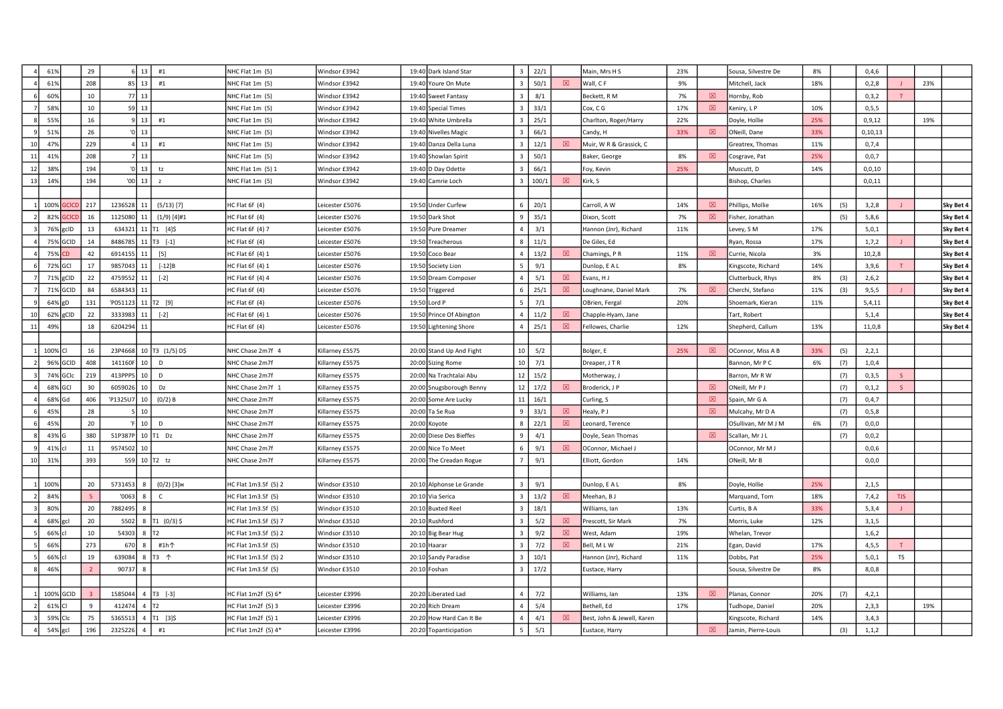|    | 61%         | 29             | $6 \mid 13 \mid$                       | #1                    | NHC Flat 1m (5)      | Windsor £3942   | 19:40 Dark Island Star   | $\overline{3}$  | 22/1           |             | Main, Mrs H S              | 23% |             | Sousa, Silvestre De | 8%  |     | 0,4,6     |            |     |           |
|----|-------------|----------------|----------------------------------------|-----------------------|----------------------|-----------------|--------------------------|-----------------|----------------|-------------|----------------------------|-----|-------------|---------------------|-----|-----|-----------|------------|-----|-----------|
|    | 61%         | 208            | $85$   13                              | #1                    | NHC Flat 1m (5)      | Windsor £3942   | 19:40 Youre On Mute      |                 | 50/1           | 図           | Wall, CF                   | 9%  |             | Mitchell, Jack      | 18% |     | 0,2,8     |            | 23% |           |
|    | 60%         | 10             | 77 13                                  |                       | NHC Flat 1m (5)      | Windsor £3942   | 19:40 Sweet Fantasy      |                 | 8/1            |             | Beckett, R M               | 7%  | 図           | Hornby, Rob         |     |     | 0,3,2     |            |     |           |
|    | 58%         | 10             | $59$ 13                                |                       | NHC Flat 1m (5)      | Windsor £3942   | 19:40 Special Times      |                 | 33/1           |             | Cox, C G                   | 17% | 図           | Keniry, L P         | 10% |     | 0, 5, 5   |            |     |           |
|    | 559         | 16             | $9 \mid 13 \mid$                       | #1                    | NHC Flat 1m (5)      | Windsor £3942   | 19:40 White Umbrella     |                 | 25/1           |             | Charlton, Roger/Harry      | 22% |             | Doyle, Hollie       | 25% |     | 0, 9, 12  |            | 19% |           |
|    | 51%         | 26             | $\sqrt{0}$ 13                          |                       | NHC Flat 1m (5)      | Windsor £3942   | 19:40 Nivelles Magic     |                 | 66/1           |             | Candy, H                   | 33% | 図           | ONeill, Dane        | 33% |     | 0, 10, 13 |            |     |           |
|    | 47%         | 229            | $4$ 13                                 | #1                    | NHC Flat 1m (5)      | Windsor £3942   | 19:40 Danza Della Luna   |                 | 12/1           | 図           | Muir, W R & Grassick, C    |     |             | Greatrex, Thomas    | 11% |     | 0,7,4     |            |     |           |
| 11 | 41%         | 208            | $7$   13                               |                       | NHC Flat 1m (5)      | Windsor £3942   | 19:40 Showlan Spirit     |                 | 50/1           |             | Baker, George              | 8%  | 図           | Cosgrave, Pat       | 25% |     | 0,0,7     |            |     |           |
| 12 | 38%         | 194            | $\begin{bmatrix} 0 & 13 \end{bmatrix}$ | tz                    | NHC Flat 1m (5) 1    | Windsor £3942   | 19:40 D Day Odette       |                 | 66/1           |             | Foy, Kevin                 | 25% |             | Muscutt, D          | 14% |     | 0, 0, 10  |            |     |           |
| 13 | 149         | 194            | $'00$ 13                               | $\overline{z}$        | NHC Flat 1m (5)      | Windsor £3942   | 19:40 Camrie Loch        |                 | 100/1          | 図           | Kirk, S                    |     |             | Bishop, Charles     |     |     | 0,0,11    |            |     |           |
|    |             |                |                                        |                       |                      |                 |                          |                 |                |             |                            |     |             |                     |     |     |           |            |     |           |
|    | 100% GCICD  | 217            | 1236528<br>11                          | $(5/13)$ [7]          | HC Flat 6f (4)       | Leicester £5076 | 19:50 Under Curfew       |                 | 20/1           |             | Carroll, A W               | 14% | 図           | Phillips, Mollie    | 16% | (5) | 3,2,8     |            |     | Sky Bet 4 |
|    | 82% GCICD   | 16             | 1125080<br>11                          | $(1/9)$ [4]#1         | HC Flat 6f (4)       | Leicester £5076 | 19:50 Dark Shot          |                 | 35/1           |             | Dixon, Scott               | 7%  | 冈           | Fisher, Jonathan    |     | (5) | 5,8,6     |            |     | Sky Bet 4 |
|    | 76% gclD    | 13             | 634321                                 | 11 $[T1 [4]$ \$       | HC Flat 6f (4) 7     | Leicester £5076 | 19:50 Pure Dreamer       |                 | 3/1            |             | Hannon (Jnr), Richard      | 11% |             | Levey, S M          | 17% |     | 5,0,1     |            |     | Sky Bet 4 |
|    | 75% GCID    | 14             | 8486785 11   T3 [-1]                   |                       | HC Flat 6f (4)       | Leicester £5076 | 19:50 Treacherous        |                 | 11/1           |             | De Giles, Ed               |     |             | Ryan, Rossa         | 17% |     | 1,7,2     |            |     | Sky Bet 4 |
|    | 75% CD      | 42             | 6914155<br>11                          | $[5]$                 | HC Flat 6f (4) 1     | Leicester £5076 | 19:50 Coco Bear          |                 | 13/2           | ⊠           | Chamings, PR               | 11% | ⊠           | Currie, Nicola      | 3%  |     | 10, 2, 8  |            |     | Sky Bet 4 |
|    | 72% GCI     | 17             | 9857043                                | $[-12]B$              | HC Flat 6f (4) 1     | Leicester £5076 | 19:50 Society Lion       |                 | 9/1            |             | Dunlop, E A L              | 8%  |             | Kingscote, Richard  | 14% |     | 3,9,6     |            |     | Sky Bet 4 |
|    | 71% gCID    | 22             | 4759552<br>11                          | $[-2]$                | HC Flat 6f (4) 4     | Leicester £5076 | 19:50 Dream Composer     |                 | 5/1            | 図           | Evans, HJ                  |     |             | Clutterbuck, Rhys   | 8%  | (3) | 2,6,2     |            |     | Sky Bet 4 |
|    | 71% GCID    | 84             | 6584343<br>11                          |                       | HC Flat 6f (4)       | Leicester £5076 | 19:50 Triggered          |                 | 25/1           | 図           | Loughnane, Daniel Mark     | 7%  | 図           | Cherchi, Stefano    | 11% | (3) | 9,5,5     |            |     | Sky Bet 4 |
|    | 64% gD      | 131            | 'P051123 11 T2 [9]                     |                       | HC Flat 6f (4)       | Leicester £5076 | 19:50 Lord P             |                 | 7/1            |             | OBrien, Fergal             | 20% |             | Shoemark, Kieran    | 11% |     | 5,4,11    |            |     | Sky Bet 4 |
|    | $62\%$ gCID | 22             | 3333983<br>11                          | $[-2]$                | HC Flat 6f (4) 1     | Leicester £5076 | 19:50 Prince Of Abington |                 | 11/2           | 冈           | Chapple-Hyam, Jane         |     |             | Tart, Robert        |     |     | 5,1,4     |            |     | Sky Bet 4 |
| 11 | 49%         | 18             | 6204294<br>11                          |                       | $HC$ Flat 6f $(4)$   | Leicester £5076 | 19:50 Lightening Shore   |                 | 25/1           | $\boxtimes$ | Fellowes, Charlie          | 12% |             | Shepherd, Callum    | 13% |     | 11,0,8    |            |     | Sky Bet 4 |
|    |             |                |                                        |                       |                      |                 |                          |                 |                |             |                            |     |             |                     |     |     |           |            |     |           |
|    | 100% CI     | 16             | 23P4668                                | 10 T3 (1/5) D\$       | NHC Chase 2m7f 4     | Killarney £5575 | 20:00 Stand Up And Fight | 10 <sup>1</sup> | 5/2            |             | Bolger, E                  | 25% | 図           | OConnor, Miss A B   | 33% | (5) | 2,2,1     |            |     |           |
|    | 96% GCID    | 408            | 141160F<br>10 <sup>1</sup>             | D                     | NHC Chase 2m7f       | Killarney £5575 | 20:00 Sizing Rome        | 10 <sup>1</sup> | 7/1            |             | Dreaper, J T R             |     |             | Bannon, Mr P C      | 6%  | (7) | 1,0,4     |            |     |           |
|    | 74% GCIc    | 219            | 413PPP5<br>10 <sup>1</sup>             | D                     | NHC Chase 2m7f       | Killarney £5575 | 20:00 Na Trachtalai Abu  |                 | $12 \mid 15/2$ |             | Motherway, J               |     |             | Barron, Mr R W      |     | (7) | 0,3,5     | S.         |     |           |
|    | 68% GCI     | 30             | 10 <sup>1</sup><br>6059026             | Dz                    | NHC Chase 2m7f 1     | Killarney £5575 | 20:00 Snugsborough Benny |                 | $12 \mid 17/2$ | 冈           | Broderick, J P             |     | 冈           | ONeill, Mr P J      |     | (7) | 0, 1, 2   |            |     |           |
|    | 68% Gd      | 406            | 'P1325U7<br>10 <sup>1</sup>            | $(0/2)$ B             | NHC Chase 2m7f       | Killarney £5575 | 20:00 Some Are Lucky     | 11              | 16/1           |             | Curling, S                 |     | 図           | Spain, Mr G A       |     | (7) | 0,4,7     |            |     |           |
|    | 45%         | 28             | 10                                     |                       | NHC Chase 2m7f       | Killarney £5575 | 20:00 Ta Se Rua          |                 | 33/1           | 冈           | Healy, PJ                  |     | 図           | Mulcahy, Mr D A     |     | (7) | 0, 5, 8   |            |     |           |
|    | 45%         | 20             | $F$ 10                                 | D                     | NHC Chase 2m7f       | Killarney £5575 | 20:00 Koyote             |                 | 22/1           | 図           | Leonard, Terence           |     |             | OSullivan, Mr M J M | 6%  | (7) | 0,0,0     |            |     |           |
|    | 43% G       | 380            | 51P387P 10 T1 Dz                       |                       | NHC Chase 2m7f       | Killarney £5575 | 20:00 Diese Des Bieffes  |                 | 4/1            |             | Doyle, Sean Thomas         |     | $\boxtimes$ | Scallan, Mr J L     |     | (7) | 0, 0, 2   |            |     |           |
|    | 41% cl      | 11             | 9574502 10                             |                       | NHC Chase 2m7f       | Killarney £5575 | 20:00 Nice To Meet       |                 | 9/1            | 図           | OConnor, Michael J         |     |             | OConnor, Mr M J     |     |     | 0,0,6     |            |     |           |
|    | 31%         | 393            | 559 10 T2 tz                           |                       | NHC Chase 2m7f       | Killarney £5575 | 20:00 The Creadan Rogue  |                 | 9/1            |             | Elliott, Gordon            | 14% |             | ONeill, Mr B        |     |     | 0, 0, 0   |            |     |           |
|    |             |                |                                        |                       |                      |                 |                          |                 |                |             |                            |     |             |                     |     |     |           |            |     |           |
|    | 100%        | 20             | 5731453<br>8                           | $(0/2)$ [3] $*$       | HC Flat 1m3.5f (5) 2 | Windsor £3510   | 20:10 Alphonse Le Grande |                 | 9/1            |             | Dunlop, E A L              | 8%  |             | Doyle, Hollie       | 25% |     | 2,1,5     |            |     |           |
|    | 84%         |                | '0063<br>8                             | $\mathsf{C}$          | HC Flat 1m3.5f (5)   | Windsor £3510   | 20:10 Via Serica         |                 | 13/2           | 図           | Meehan, BJ                 |     |             | Marquand, Tom       | 18% |     | 7,4,2     | <b>TJS</b> |     |           |
|    | 80%         | 20             | 7882495                                |                       | HC Flat 1m3.5f (5)   | Windsor £3510   | 20:10 Buxted Reel        |                 | 18/1           |             | Williams, Ian              | 13% |             | Curtis, B A         | 33% |     | 5,3,4     |            |     |           |
|    | 68% gcl     | 20             | 5502                                   | 8 T1 (0/3) \$         | HC Flat 1m3.5f (5) 7 | Windsor £3510   | 20:10 Rushford           |                 | 5/2            | 冈           | Prescott, Sir Mark         | 7%  |             | Morris, Luke        | 12% |     | 3,1,5     |            |     |           |
|    | 66% cl      | 10             | 54303                                  | $8$ $\overline{172}$  | HC Flat 1m3.5f (5) 2 | Windsor £3510   | 20:10 Big Bear Hug       |                 | 9/2            | $\boxtimes$ | West, Adam                 | 19% |             | Whelan, Trevor      |     |     | 1,6,2     |            |     |           |
|    | 669         | 273            | 670<br>8                               | #1h个                  | HC Flat 1m3.5f (5)   | Windsor £3510   | 20:10 Haarar             |                 | 7/2            | $\boxtimes$ | Bell, MLW                  | 21% |             | Egan, David         | 17% |     | 4, 5, 5   |            |     |           |
|    | 66% cl      | 19             | 639084                                 | 8 T3 $\uparrow$       | HC Flat 1m3.5f (5) 2 | Windsor £3510   | 20:10 Sandy Paradise     |                 | 10/1           |             | Hannon (Jnr), Richard      | 11% |             | Dobbs, Pat          | 25% |     | 5,0,1     | <b>TS</b>  |     |           |
|    | 46%         | $\overline{2}$ | 90737                                  |                       | HC Flat 1m3.5f (5)   | Windsor £3510   | 20:10 Foshan             |                 | 17/2           |             | Eustace, Harry             |     |             | Sousa, Silvestre De | 8%  |     | 8,0,8     |            |     |           |
|    |             |                |                                        |                       |                      |                 |                          |                 |                |             |                            |     |             |                     |     |     |           |            |     |           |
|    | 100% GCID   | $\overline{z}$ | 1585044                                | 4 $T3$ [-3]           | HC Flat 1m2f (5) 6*  | Leicester £3996 | 20:20 Liberated Lad      |                 | 7/2            |             | Williams, Ian              | 13% | 冈           | Planas, Connor      | 20% | (7) | 4,2,1     |            |     |           |
|    | 61% CI      | $\mathbf{q}$   | 412474                                 | $4$ T <sub>2</sub>    | HC Flat 1m2f (5) 3   | Leicester £3996 | 20:20 Rich Dream         |                 | 5/4            |             | Bethell, Ed                | 17% |             | Tudhope, Daniel     | 20% |     | 2,3,3     |            | 19% |           |
|    | 59% Clc     | 75             | 5365513                                | $4$   $T1$   $3$   \$ | HC Flat 1m2f (5) 1   | Leicester £3996 | 20:20 How Hard Can It Be |                 | 4/1            | 図           | Best, John & Jewell, Karen |     |             | Kingscote, Richard  | 14% |     | 3,4,3     |            |     |           |
|    | 54% gcl     | 196            | 2325226<br>$\overline{a}$              | $\#1$                 | HC Flat 1m2f (5) 4*  | Leicester £3996 | 20:20 Topanticipation    |                 | 5/1            |             | Eustace, Harry             |     | 図           | Jamin, Pierre-Louis |     | (3) | 1, 1, 2   |            |     |           |